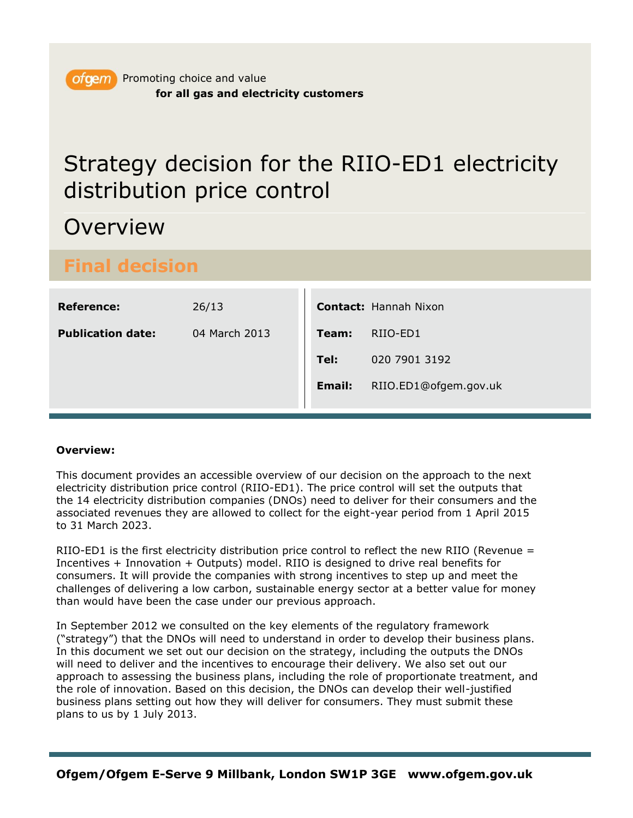## Overview

## **Final decision**

| <b>Reference:</b>        | 26/13         |               | <b>Contact: Hannah Nixon</b> |
|--------------------------|---------------|---------------|------------------------------|
| <b>Publication date:</b> | 04 March 2013 | Team:         | RIIO-ED1                     |
|                          |               | Tel:          | 020 7901 3192                |
|                          |               | <b>Email:</b> | RIIO.ED1@ofgem.gov.uk        |
|                          |               |               |                              |

### **Overview:**

This document provides an accessible overview of our decision on the approach to the next electricity distribution price control (RIIO-ED1). The price control will set the outputs that the 14 electricity distribution companies (DNOs) need to deliver for their consumers and the associated revenues they are allowed to collect for the eight-year period from 1 April 2015 to 31 March 2023.

RIIO-ED1 is the first electricity distribution price control to reflect the new RIIO (Revenue = Incentives + Innovation + Outputs) model. RIIO is designed to drive real benefits for consumers. It will provide the companies with strong incentives to step up and meet the challenges of delivering a low carbon, sustainable energy sector at a better value for money than would have been the case under our previous approach.

In September 2012 we consulted on the key elements of the regulatory framework ("strategy") that the DNOs will need to understand in order to develop their business plans. In this document we set out our decision on the strategy, including the outputs the DNOs will need to deliver and the incentives to encourage their delivery. We also set out our approach to assessing the business plans, including the role of proportionate treatment, and the role of innovation. Based on this decision, the DNOs can develop their well-justified business plans setting out how they will deliver for consumers. They must submit these plans to us by 1 July 2013.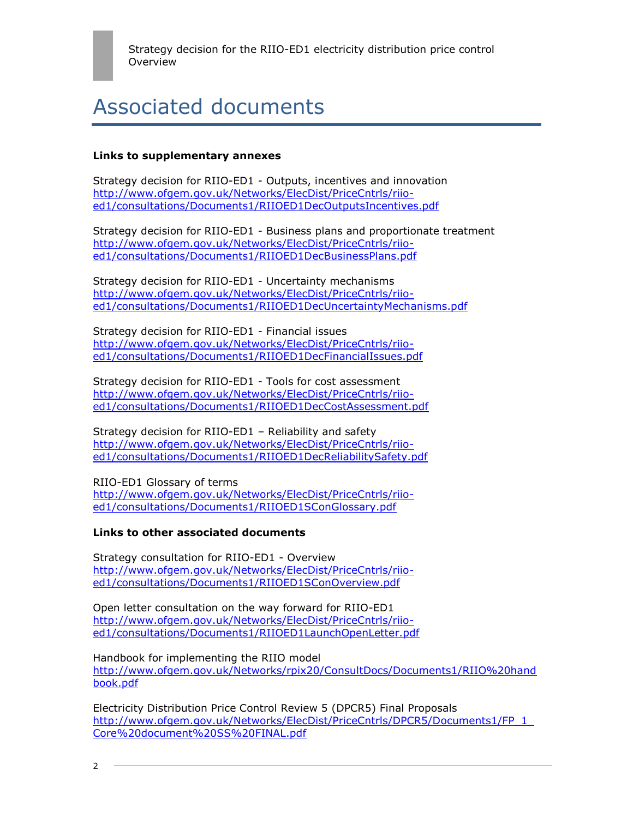## Associated documents

#### **Links to supplementary annexes**

Strategy decision for RIIO-ED1 - Outputs, incentives and innovation [http://www.ofgem.gov.uk/Networks/ElecDist/PriceCntrls/riio](http://www.ofgem.gov.uk/Networks/ElecDist/PriceCntrls/riio-ed1/consultations/Documents1/RIIOED1DecOutputsIncentives.pdf)[ed1/consultations/Documents1/RIIOED1DecOutputsIncentives.pdf](http://www.ofgem.gov.uk/Networks/ElecDist/PriceCntrls/riio-ed1/consultations/Documents1/RIIOED1DecOutputsIncentives.pdf)

Strategy decision for RIIO-ED1 - Business plans and proportionate treatment [http://www.ofgem.gov.uk/Networks/ElecDist/PriceCntrls/riio](http://www.ofgem.gov.uk/Networks/ElecDist/PriceCntrls/riio-ed1/consultations/Documents1/RIIOED1DecBusinessPlans.pdf)[ed1/consultations/Documents1/RIIOED1DecBusinessPlans.pdf](http://www.ofgem.gov.uk/Networks/ElecDist/PriceCntrls/riio-ed1/consultations/Documents1/RIIOED1DecBusinessPlans.pdf)

Strategy decision for RIIO-ED1 - Uncertainty mechanisms [http://www.ofgem.gov.uk/Networks/ElecDist/PriceCntrls/riio](http://www.ofgem.gov.uk/Networks/ElecDist/PriceCntrls/riio-ed1/consultations/Documents1/RIIOED1DecUncertaintyMechanisms.pdf)[ed1/consultations/Documents1/RIIOED1DecUncertaintyMechanisms.pdf](http://www.ofgem.gov.uk/Networks/ElecDist/PriceCntrls/riio-ed1/consultations/Documents1/RIIOED1DecUncertaintyMechanisms.pdf)

Strategy decision for RIIO-ED1 - Financial issues [http://www.ofgem.gov.uk/Networks/ElecDist/PriceCntrls/riio](http://www.ofgem.gov.uk/Networks/ElecDist/PriceCntrls/riio-ed1/consultations/Documents1/RIIOED1DecFinancialIssues.pdf)[ed1/consultations/Documents1/RIIOED1DecFinancialIssues.pdf](http://www.ofgem.gov.uk/Networks/ElecDist/PriceCntrls/riio-ed1/consultations/Documents1/RIIOED1DecFinancialIssues.pdf)

Strategy decision for RIIO-ED1 - Tools for cost assessment [http://www.ofgem.gov.uk/Networks/ElecDist/PriceCntrls/riio](http://www.ofgem.gov.uk/Networks/ElecDist/PriceCntrls/riio-ed1/consultations/Documents1/RIIOED1DecCostAssessment.pdf)[ed1/consultations/Documents1/RIIOED1DecCostAssessment.pdf](http://www.ofgem.gov.uk/Networks/ElecDist/PriceCntrls/riio-ed1/consultations/Documents1/RIIOED1DecCostAssessment.pdf)

Strategy decision for RIIO-ED1 – Reliability and safety [http://www.ofgem.gov.uk/Networks/ElecDist/PriceCntrls/riio](http://www.ofgem.gov.uk/Networks/ElecDist/PriceCntrls/riio-ed1/consultations/Documents1/RIIOED1DecReliabilitySafety.pdf)[ed1/consultations/Documents1/RIIOED1DecReliabilitySafety.pdf](http://www.ofgem.gov.uk/Networks/ElecDist/PriceCntrls/riio-ed1/consultations/Documents1/RIIOED1DecReliabilitySafety.pdf)

RIIO-ED1 Glossary of terms [http://www.ofgem.gov.uk/Networks/ElecDist/PriceCntrls/riio](http://www.ofgem.gov.uk/Networks/ElecDist/PriceCntrls/riio-ed1/consultations/Documents1/RIIOED1SConGlossary.pdf)[ed1/consultations/Documents1/RIIOED1SConGlossary.pdf](http://www.ofgem.gov.uk/Networks/ElecDist/PriceCntrls/riio-ed1/consultations/Documents1/RIIOED1SConGlossary.pdf)

#### **Links to other associated documents**

Strategy consultation for RIIO-ED1 - Overview [http://www.ofgem.gov.uk/Networks/ElecDist/PriceCntrls/riio](http://www.ofgem.gov.uk/Networks/ElecDist/PriceCntrls/riio-ed1/consultations/Documents1/RIIOED1SConOverview.pdf)[ed1/consultations/Documents1/RIIOED1SConOverview.pdf](http://www.ofgem.gov.uk/Networks/ElecDist/PriceCntrls/riio-ed1/consultations/Documents1/RIIOED1SConOverview.pdf)

Open letter consultation on the way forward for RIIO-ED1 [http://www.ofgem.gov.uk/Networks/ElecDist/PriceCntrls/riio](http://www.ofgem.gov.uk/Networks/ElecDist/PriceCntrls/riio-ed1/consultations/Documents1/RIIOED1LaunchOpenLetter.pdf)[ed1/consultations/Documents1/RIIOED1LaunchOpenLetter.pdf](http://www.ofgem.gov.uk/Networks/ElecDist/PriceCntrls/riio-ed1/consultations/Documents1/RIIOED1LaunchOpenLetter.pdf)

Handbook for implementing the RIIO model [http://www.ofgem.gov.uk/Networks/rpix20/ConsultDocs/Documents1/RIIO%20hand](http://www.ofgem.gov.uk/Networks/rpix20/ConsultDocs/Documents1/RIIO%20handbook.pdf) [book.pdf](http://www.ofgem.gov.uk/Networks/rpix20/ConsultDocs/Documents1/RIIO%20handbook.pdf)

Electricity Distribution Price Control Review 5 (DPCR5) Final Proposals [http://www.ofgem.gov.uk/Networks/ElecDist/PriceCntrls/DPCR5/Documents1/FP\\_1\\_](http://www.ofgem.gov.uk/Networks/ElecDist/PriceCntrls/DPCR5/Documents1/FP_1_Core%20document%20SS%20FINAL.pdf) [Core%20document%20SS%20FINAL.pdf](http://www.ofgem.gov.uk/Networks/ElecDist/PriceCntrls/DPCR5/Documents1/FP_1_Core%20document%20SS%20FINAL.pdf)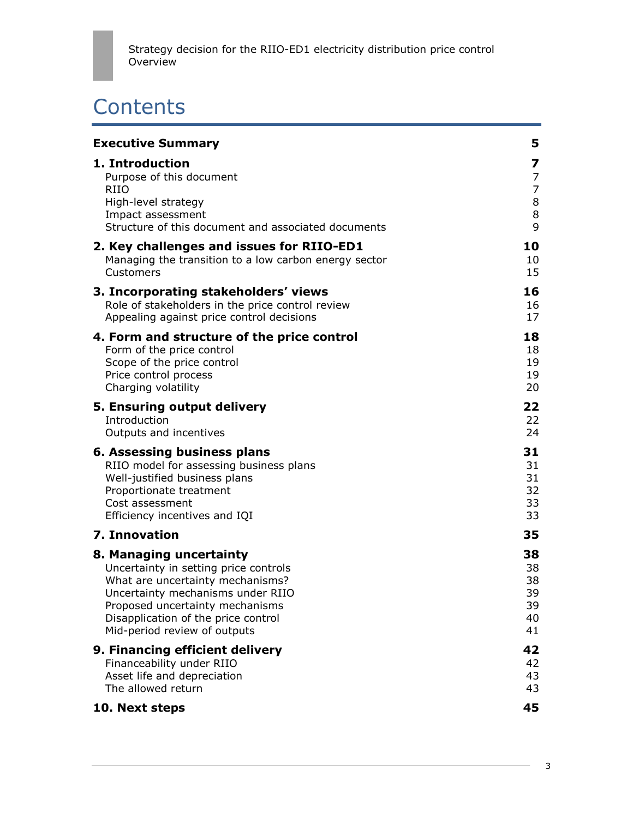# **Contents**

| <b>Executive Summary</b>                              | 5              |
|-------------------------------------------------------|----------------|
| 1. Introduction                                       | 7              |
| Purpose of this document                              | $\overline{7}$ |
| <b>RIIO</b>                                           | $\overline{7}$ |
| High-level strategy                                   | 8              |
| Impact assessment                                     | 8              |
| Structure of this document and associated documents   | $\overline{9}$ |
| 2. Key challenges and issues for RIIO-ED1             | 10             |
| Managing the transition to a low carbon energy sector | 10             |
| Customers                                             | 15             |
| 3. Incorporating stakeholders' views                  | 16             |
| Role of stakeholders in the price control review      | 16             |
| Appealing against price control decisions             | 17             |
| 4. Form and structure of the price control            | 18             |
| Form of the price control                             | 18             |
| Scope of the price control                            | 19             |
| Price control process                                 | 19             |
| Charging volatility                                   | 20             |
| 5. Ensuring output delivery                           | 22             |
| Introduction                                          | 22             |
| Outputs and incentives                                | 24             |
| 6. Assessing business plans                           | 31             |
| RIIO model for assessing business plans               | 31             |
| Well-justified business plans                         | 31             |
| Proportionate treatment                               | 32             |
| Cost assessment                                       | 33             |
| Efficiency incentives and IQI                         | 33             |
| 7. Innovation                                         | 35             |
| 8. Managing uncertainty                               | 38             |
| Uncertainty in setting price controls                 | 38             |
| What are uncertainty mechanisms?                      | 38             |
| Uncertainty mechanisms under RIIO                     | 39             |
| Proposed uncertainty mechanisms                       | 39             |
| Disapplication of the price control                   | 40             |
| Mid-period review of outputs                          | 41             |
| 9. Financing efficient delivery                       | 42             |
| Financeability under RIIO                             | 42             |
| Asset life and depreciation                           | 43             |
| The allowed return                                    | 43             |
| 10. Next steps                                        | 45             |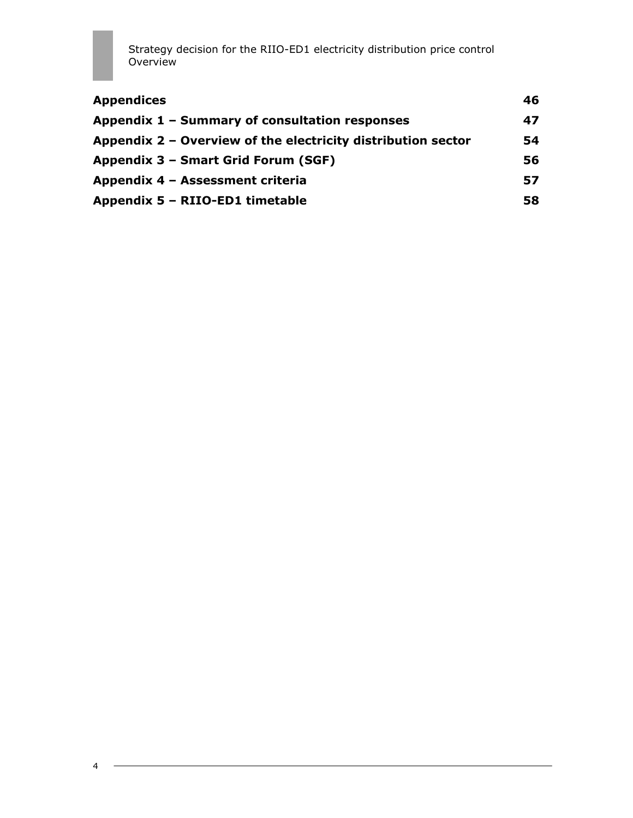| 46 |
|----|
| 47 |
| 54 |
| 56 |
| 57 |
| 58 |
|    |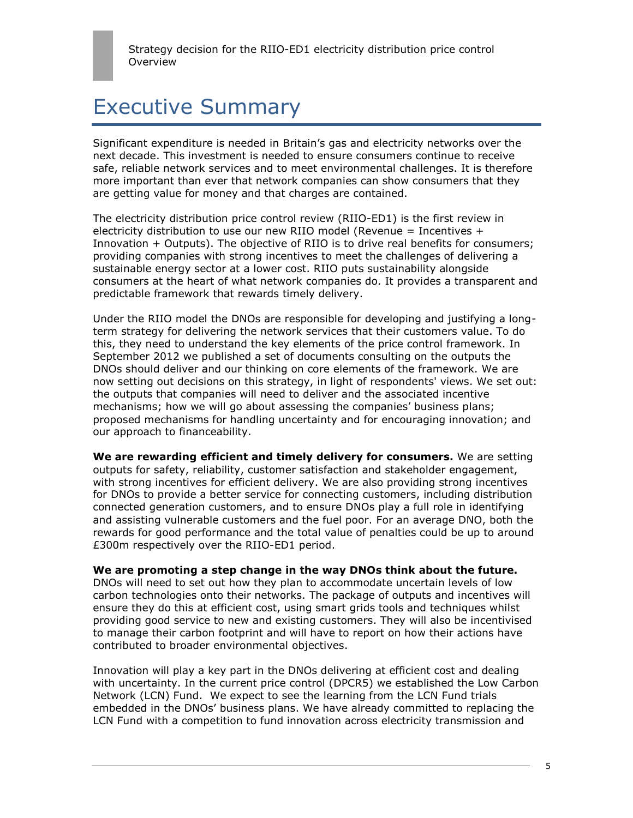## Executive Summary

Significant expenditure is needed in Britain"s gas and electricity networks over the next decade. This investment is needed to ensure consumers continue to receive safe, reliable network services and to meet environmental challenges. It is therefore more important than ever that network companies can show consumers that they are getting value for money and that charges are contained.

The electricity distribution price control review (RIIO-ED1) is the first review in electricity distribution to use our new RIIO model (Revenue = Incentives  $+$ Innovation + Outputs). The objective of RIIO is to drive real benefits for consumers; providing companies with strong incentives to meet the challenges of delivering a sustainable energy sector at a lower cost. RIIO puts sustainability alongside consumers at the heart of what network companies do. It provides a transparent and predictable framework that rewards timely delivery.

Under the RIIO model the DNOs are responsible for developing and justifying a longterm strategy for delivering the network services that their customers value. To do this, they need to understand the key elements of the price control framework. In September 2012 we published a set of documents consulting on the outputs the DNOs should deliver and our thinking on core elements of the framework. We are now setting out decisions on this strategy, in light of respondents' views. We set out: the outputs that companies will need to deliver and the associated incentive mechanisms; how we will go about assessing the companies' business plans; proposed mechanisms for handling uncertainty and for encouraging innovation; and our approach to financeability.

**We are rewarding efficient and timely delivery for consumers.** We are setting outputs for safety, reliability, customer satisfaction and stakeholder engagement, with strong incentives for efficient delivery. We are also providing strong incentives for DNOs to provide a better service for connecting customers, including distribution connected generation customers, and to ensure DNOs play a full role in identifying and assisting vulnerable customers and the fuel poor. For an average DNO, both the rewards for good performance and the total value of penalties could be up to around £300m respectively over the RIIO-ED1 period.

#### **We are promoting a step change in the way DNOs think about the future.**

DNOs will need to set out how they plan to accommodate uncertain levels of low carbon technologies onto their networks. The package of outputs and incentives will ensure they do this at efficient cost, using smart grids tools and techniques whilst providing good service to new and existing customers. They will also be incentivised to manage their carbon footprint and will have to report on how their actions have contributed to broader environmental objectives.

Innovation will play a key part in the DNOs delivering at efficient cost and dealing with uncertainty. In the current price control (DPCR5) we established the Low Carbon Network (LCN) Fund. We expect to see the learning from the LCN Fund trials embedded in the DNOs" business plans. We have already committed to replacing the LCN Fund with a competition to fund innovation across electricity transmission and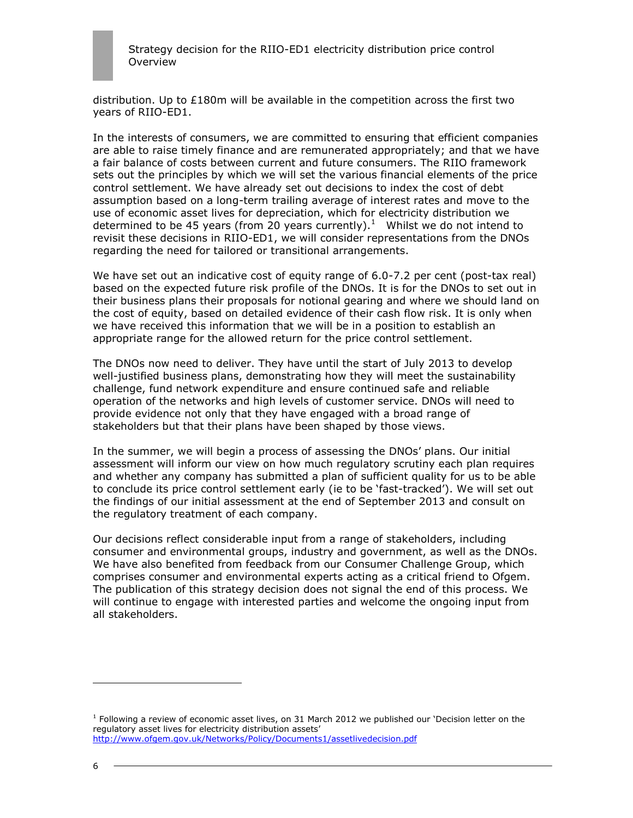

distribution. Up to  $£180m$  will be available in the competition across the first two years of RIIO-ED1.

In the interests of consumers, we are committed to ensuring that efficient companies are able to raise timely finance and are remunerated appropriately; and that we have a fair balance of costs between current and future consumers. The RIIO framework sets out the principles by which we will set the various financial elements of the price control settlement. We have already set out decisions to index the cost of debt assumption based on a long-term trailing average of interest rates and move to the use of economic asset lives for depreciation, which for electricity distribution we determined to be 45 years (from 20 years currently). $1$  Whilst we do not intend to revisit these decisions in RIIO-ED1, we will consider representations from the DNOs regarding the need for tailored or transitional arrangements.

We have set out an indicative cost of equity range of 6.0-7.2 per cent (post-tax real) based on the expected future risk profile of the DNOs. It is for the DNOs to set out in their business plans their proposals for notional gearing and where we should land on the cost of equity, based on detailed evidence of their cash flow risk. It is only when we have received this information that we will be in a position to establish an appropriate range for the allowed return for the price control settlement.

The DNOs now need to deliver. They have until the start of July 2013 to develop well-justified business plans, demonstrating how they will meet the sustainability challenge, fund network expenditure and ensure continued safe and reliable operation of the networks and high levels of customer service. DNOs will need to provide evidence not only that they have engaged with a broad range of stakeholders but that their plans have been shaped by those views.

In the summer, we will begin a process of assessing the DNOs" plans. Our initial assessment will inform our view on how much regulatory scrutiny each plan requires and whether any company has submitted a plan of sufficient quality for us to be able to conclude its price control settlement early (ie to be 'fast-tracked'). We will set out the findings of our initial assessment at the end of September 2013 and consult on the regulatory treatment of each company.

Our decisions reflect considerable input from a range of stakeholders, including consumer and environmental groups, industry and government, as well as the DNOs. We have also benefited from feedback from our Consumer Challenge Group, which comprises consumer and environmental experts acting as a critical friend to Ofgem. The publication of this strategy decision does not signal the end of this process. We will continue to engage with interested parties and welcome the ongoing input from all stakeholders.

l

<sup>&</sup>lt;sup>1</sup> Following a review of economic asset lives, on 31 March 2012 we published our 'Decision letter on the regulatory asset lives for electricity distribution assets" <http://www.ofgem.gov.uk/Networks/Policy/Documents1/assetlivedecision.pdf>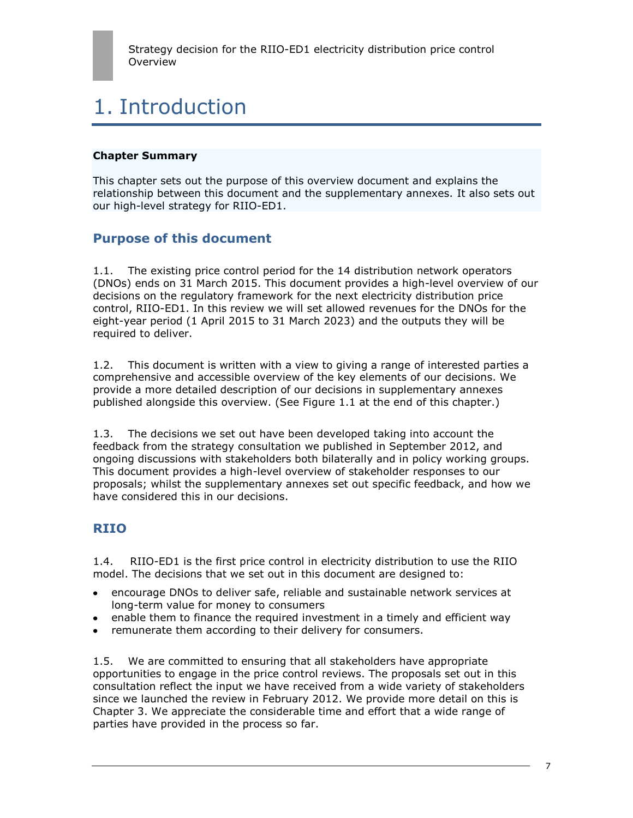# 1. Introduction

#### **Chapter Summary**

This chapter sets out the purpose of this overview document and explains the relationship between this document and the supplementary annexes. It also sets out our high-level strategy for RIIO-ED1.

## **Purpose of this document**

1.1. The existing price control period for the 14 distribution network operators (DNOs) ends on 31 March 2015. This document provides a high-level overview of our decisions on the regulatory framework for the next electricity distribution price control, RIIO-ED1. In this review we will set allowed revenues for the DNOs for the eight-year period (1 April 2015 to 31 March 2023) and the outputs they will be required to deliver.

1.2. This document is written with a view to giving a range of interested parties a comprehensive and accessible overview of the key elements of our decisions. We provide a more detailed description of our decisions in supplementary annexes published alongside this overview. (See Figure 1.1 at the end of this chapter.)

1.3. The decisions we set out have been developed taking into account the feedback from the strategy consultation we published in September 2012, and ongoing discussions with stakeholders both bilaterally and in policy working groups. This document provides a high-level overview of stakeholder responses to our proposals; whilst the supplementary annexes set out specific feedback, and how we have considered this in our decisions.

## **RIIO**

1.4. RIIO-ED1 is the first price control in electricity distribution to use the RIIO model. The decisions that we set out in this document are designed to:

- encourage DNOs to deliver safe, reliable and sustainable network services at long-term value for money to consumers
- enable them to finance the required investment in a timely and efficient way
- remunerate them according to their delivery for consumers.

1.5. We are committed to ensuring that all stakeholders have appropriate opportunities to engage in the price control reviews. The proposals set out in this consultation reflect the input we have received from a wide variety of stakeholders since we launched the review in February 2012. We provide more detail on this is Chapter 3. We appreciate the considerable time and effort that a wide range of parties have provided in the process so far.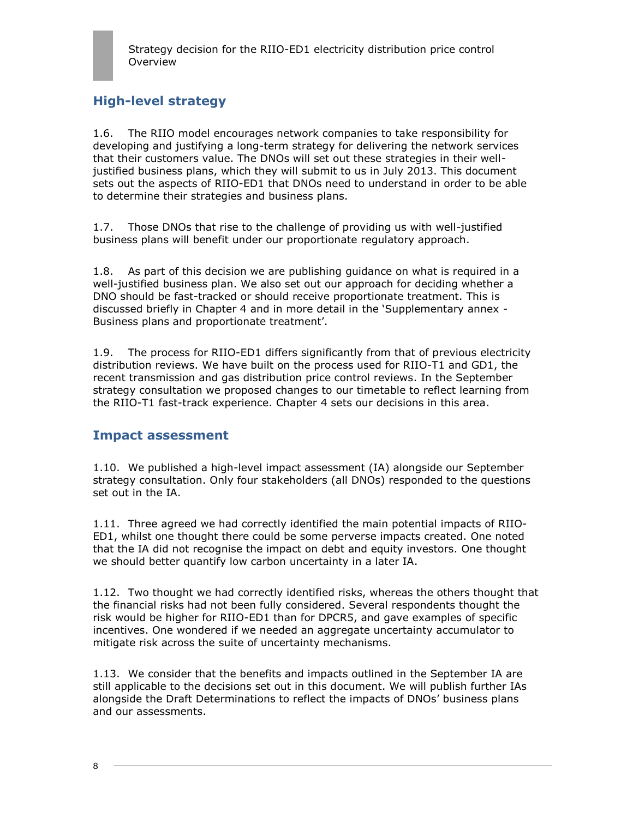## **High-level strategy**

1.6. The RIIO model encourages network companies to take responsibility for developing and justifying a long-term strategy for delivering the network services that their customers value. The DNOs will set out these strategies in their welljustified business plans, which they will submit to us in July 2013. This document sets out the aspects of RIIO-ED1 that DNOs need to understand in order to be able to determine their strategies and business plans.

1.7. Those DNOs that rise to the challenge of providing us with well-justified business plans will benefit under our proportionate regulatory approach.

1.8. As part of this decision we are publishing guidance on what is required in a well-justified business plan. We also set out our approach for deciding whether a DNO should be fast-tracked or should receive proportionate treatment. This is discussed briefly in Chapter 4 and in more detail in the "Supplementary annex - Business plans and proportionate treatment'.

1.9. The process for RIIO-ED1 differs significantly from that of previous electricity distribution reviews. We have built on the process used for RIIO-T1 and GD1, the recent transmission and gas distribution price control reviews. In the September strategy consultation we proposed changes to our timetable to reflect learning from the RIIO-T1 fast-track experience. Chapter 4 sets our decisions in this area.

## **Impact assessment**

1.10. We published a high-level impact assessment (IA) alongside our September strategy consultation. Only four stakeholders (all DNOs) responded to the questions set out in the IA.

1.11. Three agreed we had correctly identified the main potential impacts of RIIO-ED1, whilst one thought there could be some perverse impacts created. One noted that the IA did not recognise the impact on debt and equity investors. One thought we should better quantify low carbon uncertainty in a later IA.

1.12. Two thought we had correctly identified risks, whereas the others thought that the financial risks had not been fully considered. Several respondents thought the risk would be higher for RIIO-ED1 than for DPCR5, and gave examples of specific incentives. One wondered if we needed an aggregate uncertainty accumulator to mitigate risk across the suite of uncertainty mechanisms.

1.13. We consider that the benefits and impacts outlined in the September IA are still applicable to the decisions set out in this document. We will publish further IAs alongside the Draft Determinations to reflect the impacts of DNOs" business plans and our assessments.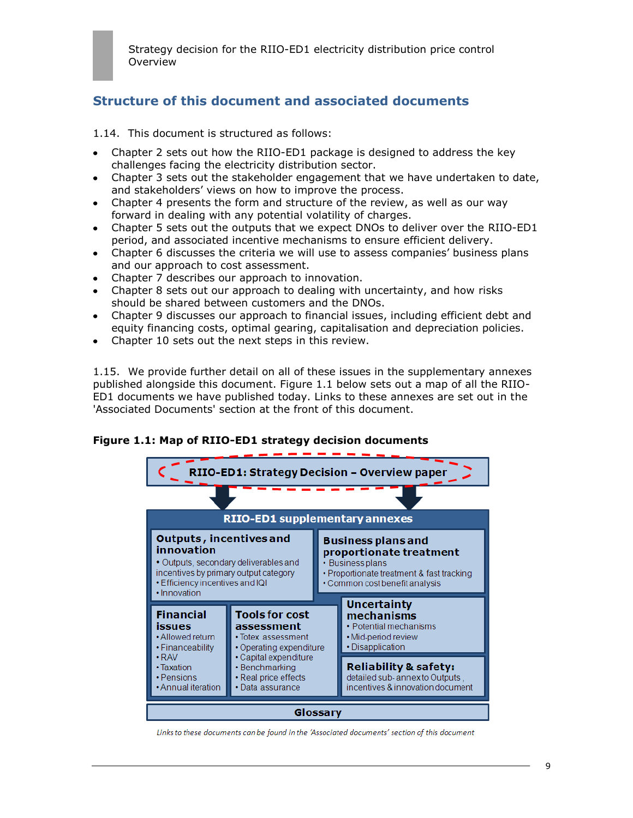## **Structure of this document and associated documents**

- 1.14. This document is structured as follows:
- Chapter 2 sets out how the RIIO-ED1 package is designed to address the key challenges facing the electricity distribution sector.
- Chapter 3 sets out the stakeholder engagement that we have undertaken to date, and stakeholders' views on how to improve the process.
- Chapter 4 presents the form and structure of the review, as well as our way forward in dealing with any potential volatility of charges.
- Chapter 5 sets out the outputs that we expect DNOs to deliver over the RIIO-ED1 period, and associated incentive mechanisms to ensure efficient delivery.
- Chapter 6 discusses the criteria we will use to assess companies" business plans  $\bullet$ and our approach to cost assessment.
- Chapter 7 describes our approach to innovation.
- Chapter 8 sets out our approach to dealing with uncertainty, and how risks should be shared between customers and the DNOs.
- Chapter 9 discusses our approach to financial issues, including efficient debt and equity financing costs, optimal gearing, capitalisation and depreciation policies.
- Chapter 10 sets out the next steps in this review.

1.15. We provide further detail on all of these issues in the supplementary annexes published alongside this document. Figure 1.1 below sets out a map of all the RIIO-ED1 documents we have published today. Links to these annexes are set out in the 'Associated Documents' section at the front of this document.

### **Figure 1.1: Map of RIIO-ED1 strategy decision documents**



Links to these documents can be found in the 'Associated documents' section of this document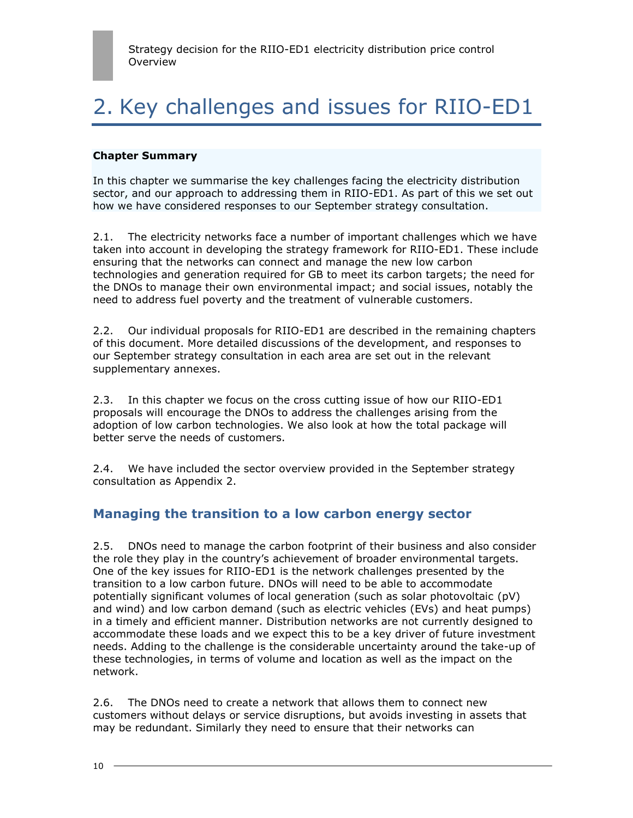# 2. Key challenges and issues for RIIO-ED1

#### **Chapter Summary**

In this chapter we summarise the key challenges facing the electricity distribution sector, and our approach to addressing them in RIIO-ED1. As part of this we set out how we have considered responses to our September strategy consultation.

2.1. The electricity networks face a number of important challenges which we have taken into account in developing the strategy framework for RIIO-ED1. These include ensuring that the networks can connect and manage the new low carbon technologies and generation required for GB to meet its carbon targets; the need for the DNOs to manage their own environmental impact; and social issues, notably the need to address fuel poverty and the treatment of vulnerable customers.

2.2. Our individual proposals for RIIO-ED1 are described in the remaining chapters of this document. More detailed discussions of the development, and responses to our September strategy consultation in each area are set out in the relevant supplementary annexes.

2.3. In this chapter we focus on the cross cutting issue of how our RIIO-ED1 proposals will encourage the DNOs to address the challenges arising from the adoption of low carbon technologies. We also look at how the total package will better serve the needs of customers.

2.4. We have included the sector overview provided in the September strategy consultation as Appendix 2.

## **Managing the transition to a low carbon energy sector**

2.5. DNOs need to manage the carbon footprint of their business and also consider the role they play in the country"s achievement of broader environmental targets. One of the key issues for RIIO-ED1 is the network challenges presented by the transition to a low carbon future. DNOs will need to be able to accommodate potentially significant volumes of local generation (such as solar photovoltaic (pV) and wind) and low carbon demand (such as electric vehicles (EVs) and heat pumps) in a timely and efficient manner. Distribution networks are not currently designed to accommodate these loads and we expect this to be a key driver of future investment needs. Adding to the challenge is the considerable uncertainty around the take-up of these technologies, in terms of volume and location as well as the impact on the network.

2.6. The DNOs need to create a network that allows them to connect new customers without delays or service disruptions, but avoids investing in assets that may be redundant. Similarly they need to ensure that their networks can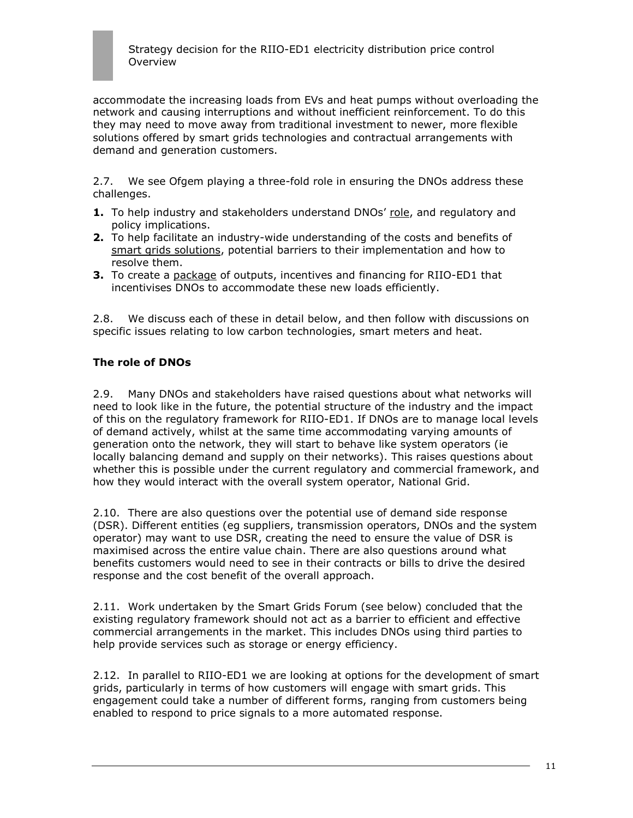

accommodate the increasing loads from EVs and heat pumps without overloading the network and causing interruptions and without inefficient reinforcement. To do this they may need to move away from traditional investment to newer, more flexible solutions offered by smart grids technologies and contractual arrangements with demand and generation customers.

2.7. We see Ofgem playing a three-fold role in ensuring the DNOs address these challenges.

- **1.** To help industry and stakeholders understand DNOs' role, and regulatory and policy implications.
- **2.** To help facilitate an industry-wide understanding of the costs and benefits of smart grids solutions, potential barriers to their implementation and how to resolve them.
- **3.** To create a package of outputs, incentives and financing for RIIO-ED1 that incentivises DNOs to accommodate these new loads efficiently.

2.8. We discuss each of these in detail below, and then follow with discussions on specific issues relating to low carbon technologies, smart meters and heat.

### **The role of DNOs**

2.9. Many DNOs and stakeholders have raised questions about what networks will need to look like in the future, the potential structure of the industry and the impact of this on the regulatory framework for RIIO-ED1. If DNOs are to manage local levels of demand actively, whilst at the same time accommodating varying amounts of generation onto the network, they will start to behave like system operators (ie locally balancing demand and supply on their networks). This raises questions about whether this is possible under the current regulatory and commercial framework, and how they would interact with the overall system operator, National Grid.

2.10. There are also questions over the potential use of demand side response (DSR). Different entities (eg suppliers, transmission operators, DNOs and the system operator) may want to use DSR, creating the need to ensure the value of DSR is maximised across the entire value chain. There are also questions around what benefits customers would need to see in their contracts or bills to drive the desired response and the cost benefit of the overall approach.

2.11. Work undertaken by the Smart Grids Forum (see below) concluded that the existing regulatory framework should not act as a barrier to efficient and effective commercial arrangements in the market. This includes DNOs using third parties to help provide services such as storage or energy efficiency.

2.12. In parallel to RIIO-ED1 we are looking at options for the development of smart grids, particularly in terms of how customers will engage with smart grids. This engagement could take a number of different forms, ranging from customers being enabled to respond to price signals to a more automated response.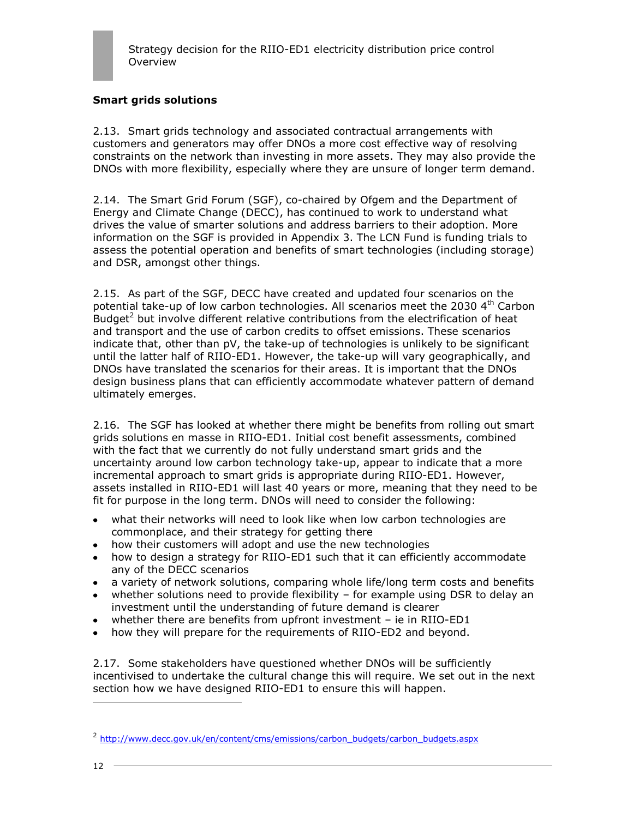

### **Smart grids solutions**

2.13. Smart grids technology and associated contractual arrangements with customers and generators may offer DNOs a more cost effective way of resolving constraints on the network than investing in more assets. They may also provide the DNOs with more flexibility, especially where they are unsure of longer term demand.

2.14. The Smart Grid Forum (SGF), co-chaired by Ofgem and the Department of Energy and Climate Change (DECC), has continued to work to understand what drives the value of smarter solutions and address barriers to their adoption. More information on the SGF is provided in Appendix 3. The LCN Fund is funding trials to assess the potential operation and benefits of smart technologies (including storage) and DSR, amongst other things.

2.15. As part of the SGF, DECC have created and updated four scenarios on the potential take-up of low carbon technologies. All scenarios meet the 2030 4<sup>th</sup> Carbon Budget<sup>2</sup> but involve different relative contributions from the electrification of heat and transport and the use of carbon credits to offset emissions. These scenarios indicate that, other than pV, the take-up of technologies is unlikely to be significant until the latter half of RIIO-ED1. However, the take-up will vary geographically, and DNOs have translated the scenarios for their areas. It is important that the DNOs design business plans that can efficiently accommodate whatever pattern of demand ultimately emerges.

2.16. The SGF has looked at whether there might be benefits from rolling out smart grids solutions en masse in RIIO-ED1. Initial cost benefit assessments, combined with the fact that we currently do not fully understand smart grids and the uncertainty around low carbon technology take-up, appear to indicate that a more incremental approach to smart grids is appropriate during RIIO-ED1. However, assets installed in RIIO-ED1 will last 40 years or more, meaning that they need to be fit for purpose in the long term. DNOs will need to consider the following:

- what their networks will need to look like when low carbon technologies are  $\bullet$ commonplace, and their strategy for getting there
- how their customers will adopt and use the new technologies
- how to design a strategy for RIIO-ED1 such that it can efficiently accommodate any of the DECC scenarios
- a variety of network solutions, comparing whole life/long term costs and benefits
- whether solutions need to provide flexibility for example using DSR to delay an investment until the understanding of future demand is clearer
- whether there are benefits from upfront investment ie in RIIO-ED1
- how they will prepare for the requirements of RIIO-ED2 and beyond.

2.17. Some stakeholders have questioned whether DNOs will be sufficiently incentivised to undertake the cultural change this will require. We set out in the next section how we have designed RIIO-ED1 to ensure this will happen.

<sup>&</sup>lt;sup>2</sup> [http://www.decc.gov.uk/en/content/cms/emissions/carbon\\_budgets/carbon\\_budgets.aspx](http://www.decc.gov.uk/en/content/cms/emissions/carbon_budgets/carbon_budgets.aspx)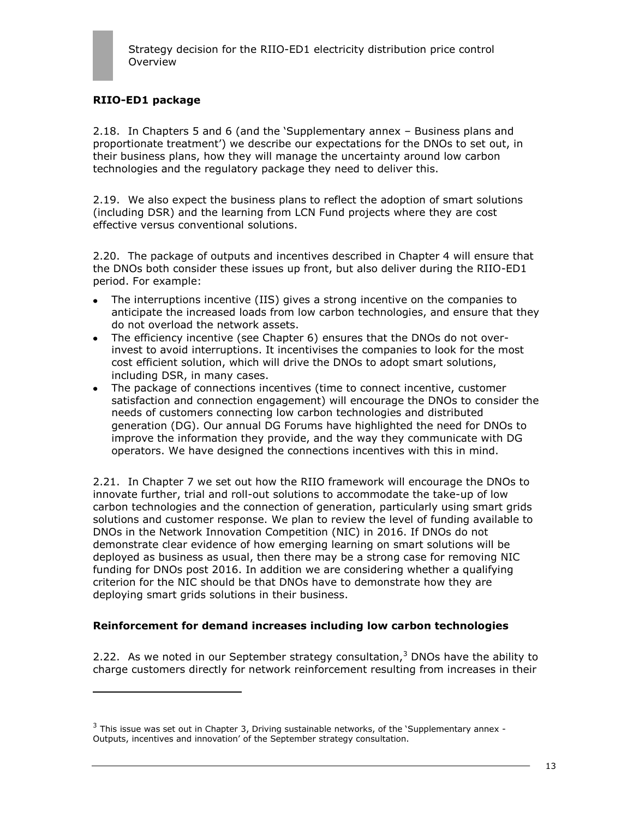## **RIIO-ED1 package**

ł

2.18. In Chapters 5 and 6 (and the "Supplementary annex – Business plans and proportionate treatment") we describe our expectations for the DNOs to set out, in their business plans, how they will manage the uncertainty around low carbon technologies and the regulatory package they need to deliver this.

2.19. We also expect the business plans to reflect the adoption of smart solutions (including DSR) and the learning from LCN Fund projects where they are cost effective versus conventional solutions.

2.20. The package of outputs and incentives described in Chapter 4 will ensure that the DNOs both consider these issues up front, but also deliver during the RIIO-ED1 period. For example:

- The interruptions incentive (IIS) gives a strong incentive on the companies to anticipate the increased loads from low carbon technologies, and ensure that they do not overload the network assets.
- The efficiency incentive (see Chapter 6) ensures that the DNOs do not overinvest to avoid interruptions. It incentivises the companies to look for the most cost efficient solution, which will drive the DNOs to adopt smart solutions, including DSR, in many cases.
- The package of connections incentives (time to connect incentive, customer satisfaction and connection engagement) will encourage the DNOs to consider the needs of customers connecting low carbon technologies and distributed generation (DG). Our annual DG Forums have highlighted the need for DNOs to improve the information they provide, and the way they communicate with DG operators. We have designed the connections incentives with this in mind.

2.21. In Chapter 7 we set out how the RIIO framework will encourage the DNOs to innovate further, trial and roll-out solutions to accommodate the take-up of low carbon technologies and the connection of generation, particularly using smart grids solutions and customer response. We plan to review the level of funding available to DNOs in the Network Innovation Competition (NIC) in 2016. If DNOs do not demonstrate clear evidence of how emerging learning on smart solutions will be deployed as business as usual, then there may be a strong case for removing NIC funding for DNOs post 2016. In addition we are considering whether a qualifying criterion for the NIC should be that DNOs have to demonstrate how they are deploying smart grids solutions in their business.

### **Reinforcement for demand increases including low carbon technologies**

2.22. As we noted in our September strategy consultation, $3$  DNOs have the ability to charge customers directly for network reinforcement resulting from increases in their

 $3$  This issue was set out in Chapter 3, Driving sustainable networks, of the 'Supplementary annex -Outputs, incentives and innovation" of the September strategy consultation.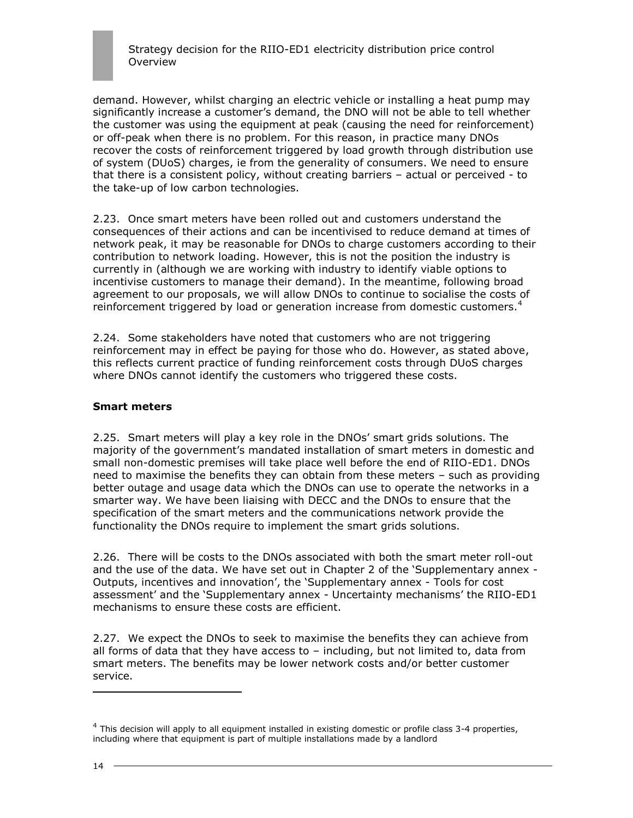demand. However, whilst charging an electric vehicle or installing a heat pump may significantly increase a customer"s demand, the DNO will not be able to tell whether the customer was using the equipment at peak (causing the need for reinforcement) or off-peak when there is no problem. For this reason, in practice many DNOs recover the costs of reinforcement triggered by load growth through distribution use of system (DUoS) charges, ie from the generality of consumers. We need to ensure that there is a consistent policy, without creating barriers – actual or perceived - to the take-up of low carbon technologies.

2.23. Once smart meters have been rolled out and customers understand the consequences of their actions and can be incentivised to reduce demand at times of network peak, it may be reasonable for DNOs to charge customers according to their contribution to network loading. However, this is not the position the industry is currently in (although we are working with industry to identify viable options to incentivise customers to manage their demand). In the meantime, following broad agreement to our proposals, we will allow DNOs to continue to socialise the costs of reinforcement triggered by load or generation increase from domestic customers. $4$ 

2.24. Some stakeholders have noted that customers who are not triggering reinforcement may in effect be paying for those who do. However, as stated above, this reflects current practice of funding reinforcement costs through DUoS charges where DNOs cannot identify the customers who triggered these costs.

### **Smart meters**

2.25. Smart meters will play a key role in the DNOs" smart grids solutions. The majority of the government"s mandated installation of smart meters in domestic and small non-domestic premises will take place well before the end of RIIO-ED1. DNOs need to maximise the benefits they can obtain from these meters – such as providing better outage and usage data which the DNOs can use to operate the networks in a smarter way. We have been liaising with DECC and the DNOs to ensure that the specification of the smart meters and the communications network provide the functionality the DNOs require to implement the smart grids solutions.

2.26. There will be costs to the DNOs associated with both the smart meter roll-out and the use of the data. We have set out in Chapter 2 of the "Supplementary annex - Outputs, incentives and innovation", the "Supplementary annex - Tools for cost assessment' and the 'Supplementary annex - Uncertainty mechanisms' the RIIO-ED1 mechanisms to ensure these costs are efficient.

2.27. We expect the DNOs to seek to maximise the benefits they can achieve from all forms of data that they have access to – including, but not limited to, data from smart meters. The benefits may be lower network costs and/or better customer service.

 $<sup>4</sup>$  This decision will apply to all equipment installed in existing domestic or profile class 3-4 properties,</sup> including where that equipment is part of multiple installations made by a landlord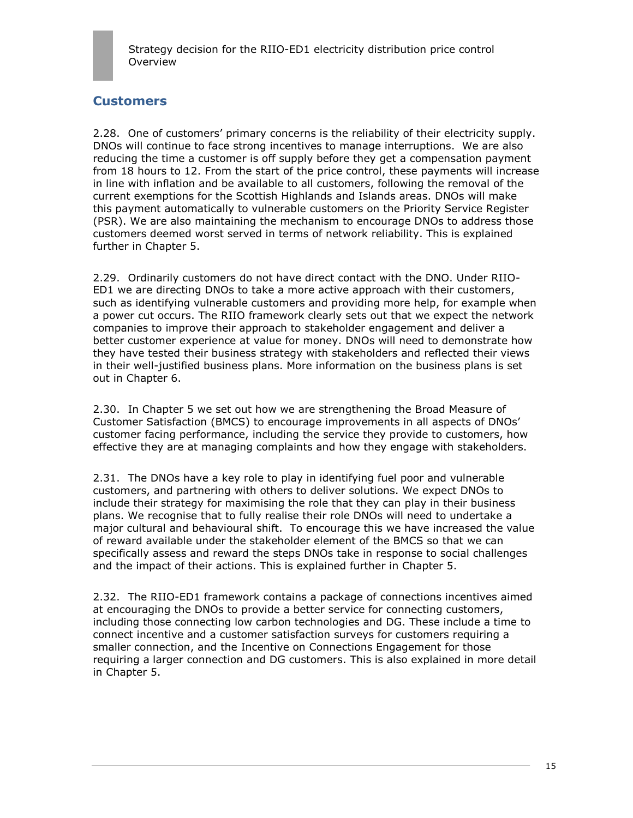

## **Customers**

2.28. One of customers" primary concerns is the reliability of their electricity supply. DNOs will continue to face strong incentives to manage interruptions. We are also reducing the time a customer is off supply before they get a compensation payment from 18 hours to 12. From the start of the price control, these payments will increase in line with inflation and be available to all customers, following the removal of the current exemptions for the Scottish Highlands and Islands areas. DNOs will make this payment automatically to vulnerable customers on the Priority Service Register (PSR). We are also maintaining the mechanism to encourage DNOs to address those customers deemed worst served in terms of network reliability. This is explained further in Chapter 5.

2.29. Ordinarily customers do not have direct contact with the DNO. Under RIIO-ED1 we are directing DNOs to take a more active approach with their customers, such as identifying vulnerable customers and providing more help, for example when a power cut occurs. The RIIO framework clearly sets out that we expect the network companies to improve their approach to stakeholder engagement and deliver a better customer experience at value for money. DNOs will need to demonstrate how they have tested their business strategy with stakeholders and reflected their views in their well-justified business plans. More information on the business plans is set out in Chapter 6.

2.30. In Chapter 5 we set out how we are strengthening the Broad Measure of Customer Satisfaction (BMCS) to encourage improvements in all aspects of DNOs" customer facing performance, including the service they provide to customers, how effective they are at managing complaints and how they engage with stakeholders.

2.31. The DNOs have a key role to play in identifying fuel poor and vulnerable customers, and partnering with others to deliver solutions. We expect DNOs to include their strategy for maximising the role that they can play in their business plans. We recognise that to fully realise their role DNOs will need to undertake a major cultural and behavioural shift. To encourage this we have increased the value of reward available under the stakeholder element of the BMCS so that we can specifically assess and reward the steps DNOs take in response to social challenges and the impact of their actions. This is explained further in Chapter 5.

2.32. The RIIO-ED1 framework contains a package of connections incentives aimed at encouraging the DNOs to provide a better service for connecting customers, including those connecting low carbon technologies and DG. These include a time to connect incentive and a customer satisfaction surveys for customers requiring a smaller connection, and the Incentive on Connections Engagement for those requiring a larger connection and DG customers. This is also explained in more detail in Chapter 5.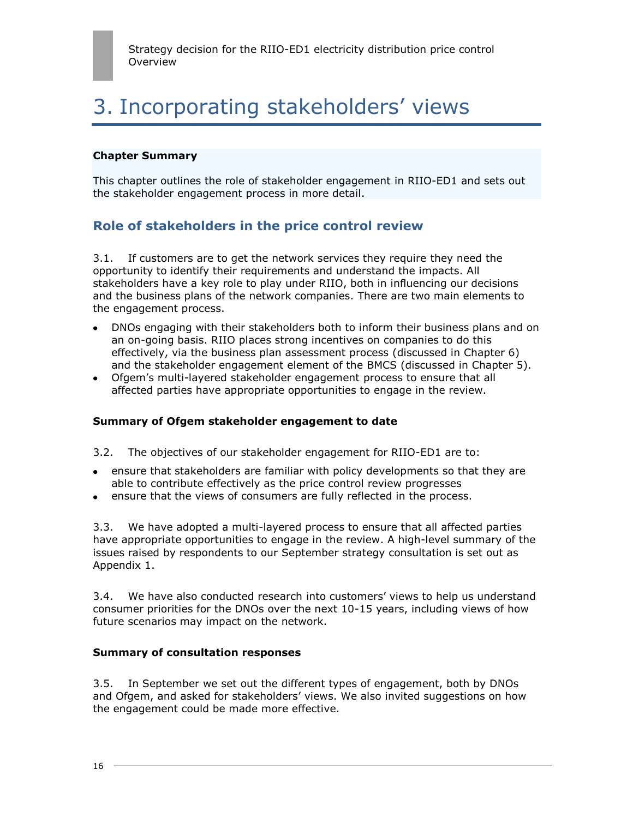# 3. Incorporating stakeholders' views

#### **Chapter Summary**

This chapter outlines the role of stakeholder engagement in RIIO-ED1 and sets out the stakeholder engagement process in more detail.

## **Role of stakeholders in the price control review**

3.1. If customers are to get the network services they require they need the opportunity to identify their requirements and understand the impacts. All stakeholders have a key role to play under RIIO, both in influencing our decisions and the business plans of the network companies. There are two main elements to the engagement process.

- DNOs engaging with their stakeholders both to inform their business plans and on an on-going basis. RIIO places strong incentives on companies to do this effectively, via the business plan assessment process (discussed in Chapter 6) and the stakeholder engagement element of the BMCS (discussed in Chapter 5).
- Ofgem"s multi-layered stakeholder engagement process to ensure that all affected parties have appropriate opportunities to engage in the review.

### **Summary of Ofgem stakeholder engagement to date**

- 3.2. The objectives of our stakeholder engagement for RIIO-ED1 are to:
- ensure that stakeholders are familiar with policy developments so that they are able to contribute effectively as the price control review progresses
- ensure that the views of consumers are fully reflected in the process.

3.3. We have adopted a multi-layered process to ensure that all affected parties have appropriate opportunities to engage in the review. A high-level summary of the issues raised by respondents to our September strategy consultation is set out as Appendix 1.

3.4. We have also conducted research into customers" views to help us understand consumer priorities for the DNOs over the next 10-15 years, including views of how future scenarios may impact on the network.

#### **Summary of consultation responses**

3.5. In September we set out the different types of engagement, both by DNOs and Ofgem, and asked for stakeholders" views. We also invited suggestions on how the engagement could be made more effective.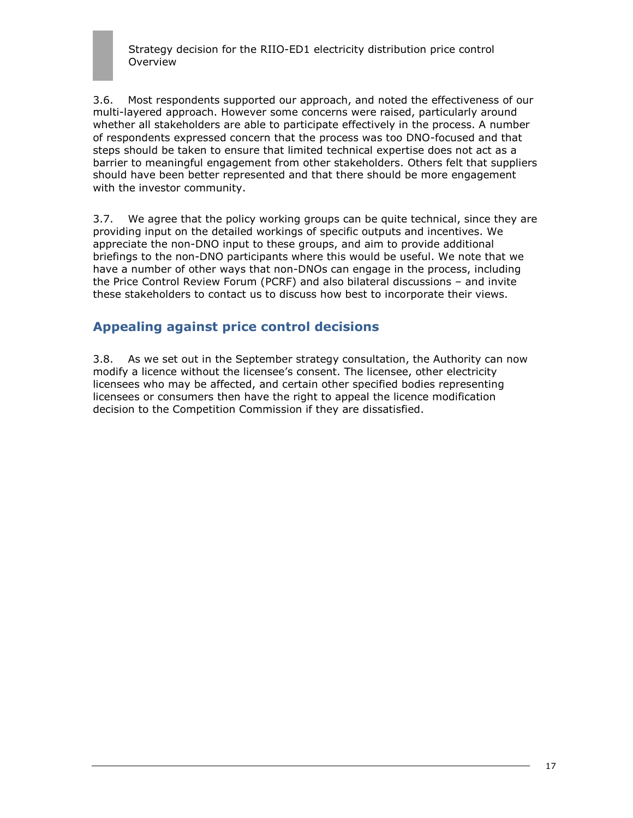3.6. Most respondents supported our approach, and noted the effectiveness of our multi-layered approach. However some concerns were raised, particularly around whether all stakeholders are able to participate effectively in the process. A number of respondents expressed concern that the process was too DNO-focused and that steps should be taken to ensure that limited technical expertise does not act as a barrier to meaningful engagement from other stakeholders. Others felt that suppliers should have been better represented and that there should be more engagement with the investor community.

3.7. We agree that the policy working groups can be quite technical, since they are providing input on the detailed workings of specific outputs and incentives. We appreciate the non-DNO input to these groups, and aim to provide additional briefings to the non-DNO participants where this would be useful. We note that we have a number of other ways that non-DNOs can engage in the process, including the Price Control Review Forum (PCRF) and also bilateral discussions – and invite these stakeholders to contact us to discuss how best to incorporate their views.

## **Appealing against price control decisions**

3.8. As we set out in the September strategy consultation, the Authority can now modify a licence without the licensee's consent. The licensee, other electricity licensees who may be affected, and certain other specified bodies representing licensees or consumers then have the right to appeal the licence modification decision to the Competition Commission if they are dissatisfied.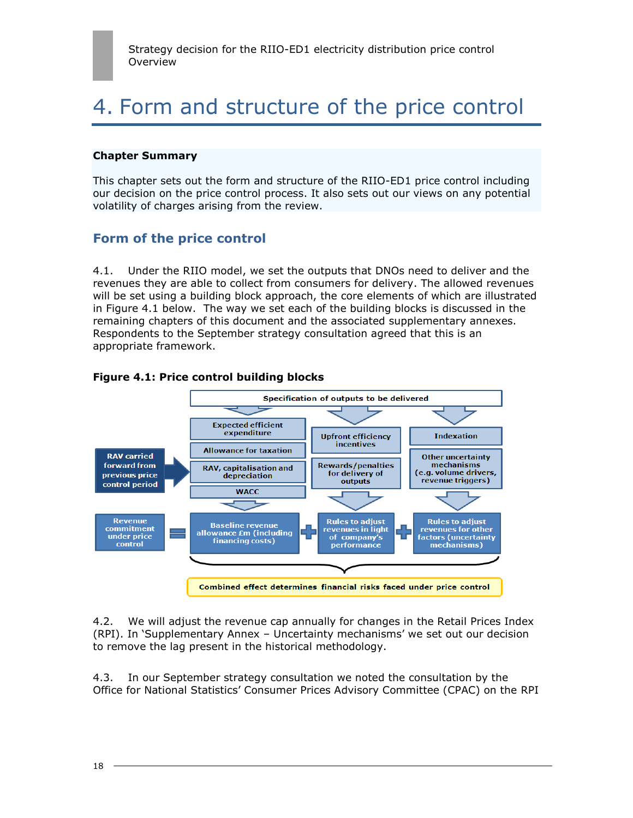## 4. Form and structure of the price control

#### **Chapter Summary**

This chapter sets out the form and structure of the RIIO-ED1 price control including our decision on the price control process. It also sets out our views on any potential volatility of charges arising from the review.

## **Form of the price control**

4.1. Under the RIIO model, we set the outputs that DNOs need to deliver and the revenues they are able to collect from consumers for delivery. The allowed revenues will be set using a building block approach, the core elements of which are illustrated in Figure 4.1 below. The way we set each of the building blocks is discussed in the remaining chapters of this document and the associated supplementary annexes. Respondents to the September strategy consultation agreed that this is an appropriate framework.



### **Figure 4.1: Price control building blocks**

4.2. We will adjust the revenue cap annually for changes in the Retail Prices Index (RPI). In "Supplementary Annex – Uncertainty mechanisms" we set out our decision to remove the lag present in the historical methodology.

4.3. In our September strategy consultation we noted the consultation by the Office for National Statistics" Consumer Prices Advisory Committee (CPAC) on the RPI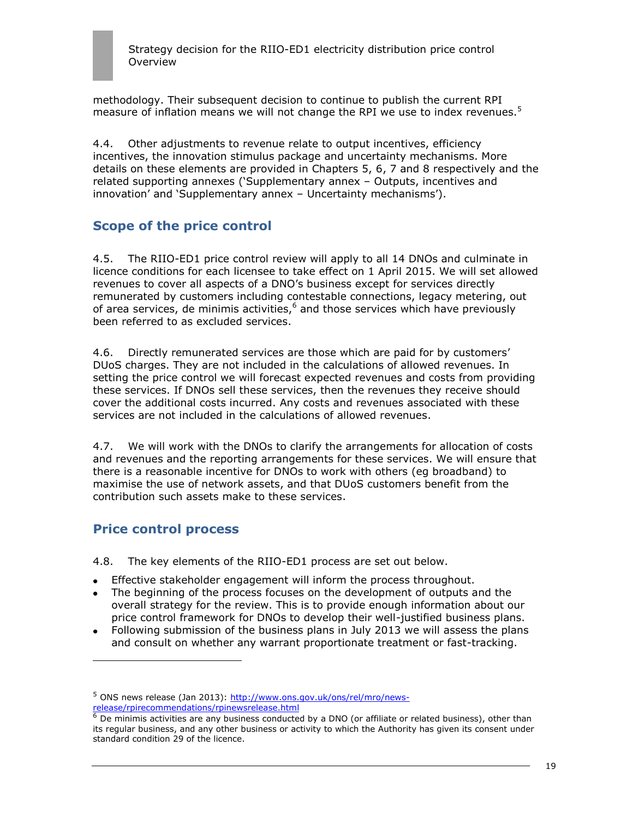methodology. Their subsequent decision to continue to publish the current RPI measure of inflation means we will not change the RPI we use to index revenues. $5$ 

4.4. Other adjustments to revenue relate to output incentives, efficiency incentives, the innovation stimulus package and uncertainty mechanisms. More details on these elements are provided in Chapters 5, 6, 7 and 8 respectively and the related supporting annexes ("Supplementary annex – Outputs, incentives and innovation' and 'Supplementary annex - Uncertainty mechanisms').

## **Scope of the price control**

4.5. The RIIO-ED1 price control review will apply to all 14 DNOs and culminate in licence conditions for each licensee to take effect on 1 April 2015. We will set allowed revenues to cover all aspects of a DNO"s business except for services directly remunerated by customers including contestable connections, legacy metering, out of area services, de minimis activities,<sup>6</sup> and those services which have previously been referred to as excluded services.

4.6. Directly remunerated services are those which are paid for by customers' DUoS charges. They are not included in the calculations of allowed revenues. In setting the price control we will forecast expected revenues and costs from providing these services. If DNOs sell these services, then the revenues they receive should cover the additional costs incurred. Any costs and revenues associated with these services are not included in the calculations of allowed revenues.

4.7. We will work with the DNOs to clarify the arrangements for allocation of costs and revenues and the reporting arrangements for these services. We will ensure that there is a reasonable incentive for DNOs to work with others (eg broadband) to maximise the use of network assets, and that DUoS customers benefit from the contribution such assets make to these services.

## **Price control process**

ł

4.8. The key elements of the RIIO-ED1 process are set out below.

- Effective stakeholder engagement will inform the process throughout.
- The beginning of the process focuses on the development of outputs and the overall strategy for the review. This is to provide enough information about our price control framework for DNOs to develop their well-justified business plans.
- Following submission of the business plans in July 2013 we will assess the plans and consult on whether any warrant proportionate treatment or fast-tracking.

<sup>&</sup>lt;sup>5</sup> ONS news release (Jan 2013): [http://www.ons.gov.uk/ons/rel/mro/news](http://www.ons.gov.uk/ons/rel/mro/news-release/rpirecommendations/rpinewsrelease.html)[release/rpirecommendations/rpinewsrelease.html](http://www.ons.gov.uk/ons/rel/mro/news-release/rpirecommendations/rpinewsrelease.html)

 $^6$  De minimis activities are any business conducted by a DNO (or affiliate or related business), other than its regular business, and any other business or activity to which the Authority has given its consent under standard condition 29 of the licence.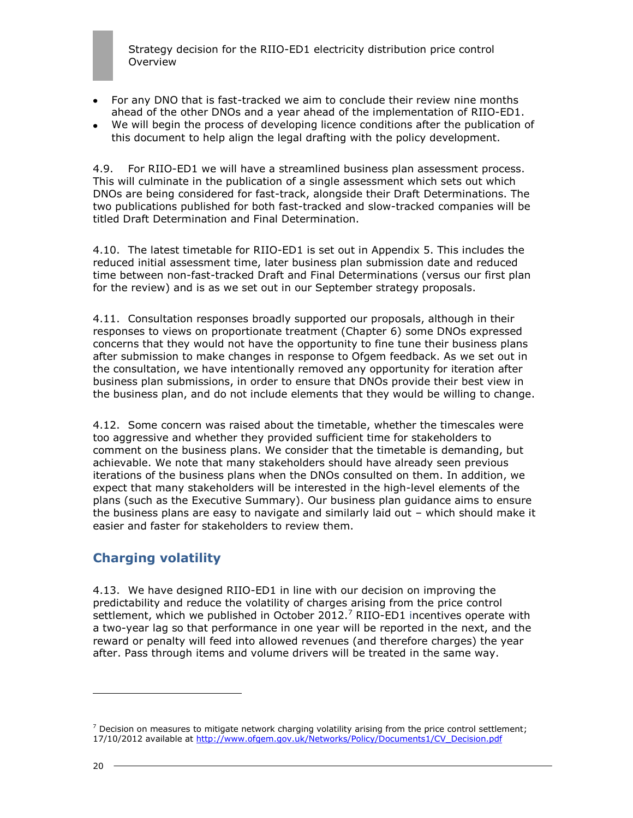- For any DNO that is fast-tracked we aim to conclude their review nine months ahead of the other DNOs and a year ahead of the implementation of RIIO-ED1.
- We will begin the process of developing licence conditions after the publication of this document to help align the legal drafting with the policy development.

4.9. For RIIO-ED1 we will have a streamlined business plan assessment process. This will culminate in the publication of a single assessment which sets out which DNOs are being considered for fast-track, alongside their Draft Determinations. The two publications published for both fast-tracked and slow-tracked companies will be titled Draft Determination and Final Determination.

4.10. The latest timetable for RIIO-ED1 is set out in Appendix 5. This includes the reduced initial assessment time, later business plan submission date and reduced time between non-fast-tracked Draft and Final Determinations (versus our first plan for the review) and is as we set out in our September strategy proposals.

4.11. Consultation responses broadly supported our proposals, although in their responses to views on proportionate treatment (Chapter 6) some DNOs expressed concerns that they would not have the opportunity to fine tune their business plans after submission to make changes in response to Ofgem feedback. As we set out in the consultation, we have intentionally removed any opportunity for iteration after business plan submissions, in order to ensure that DNOs provide their best view in the business plan, and do not include elements that they would be willing to change.

4.12. Some concern was raised about the timetable, whether the timescales were too aggressive and whether they provided sufficient time for stakeholders to comment on the business plans. We consider that the timetable is demanding, but achievable. We note that many stakeholders should have already seen previous iterations of the business plans when the DNOs consulted on them. In addition, we expect that many stakeholders will be interested in the high-level elements of the plans (such as the Executive Summary). Our business plan guidance aims to ensure the business plans are easy to navigate and similarly laid out – which should make it easier and faster for stakeholders to review them.

## **Charging volatility**

4.13. We have designed RIIO-ED1 in line with our decision on improving the predictability and reduce the volatility of charges arising from the price control settlement, which we published in October 2012.<sup>7</sup> RIIO-ED1 incentives operate with a two-year lag so that performance in one year will be reported in the next, and the reward or penalty will feed into allowed revenues (and therefore charges) the year after. Pass through items and volume drivers will be treated in the same way.

l

 $<sup>7</sup>$  Decision on measures to mitigate network charging volatility arising from the price control settlement;</sup> 17/10/2012 available at [http://www.ofgem.gov.uk/Networks/Policy/Documents1/CV\\_Decision.pdf](http://www.ofgem.gov.uk/Networks/Policy/Documents1/CV_Decision.pdf)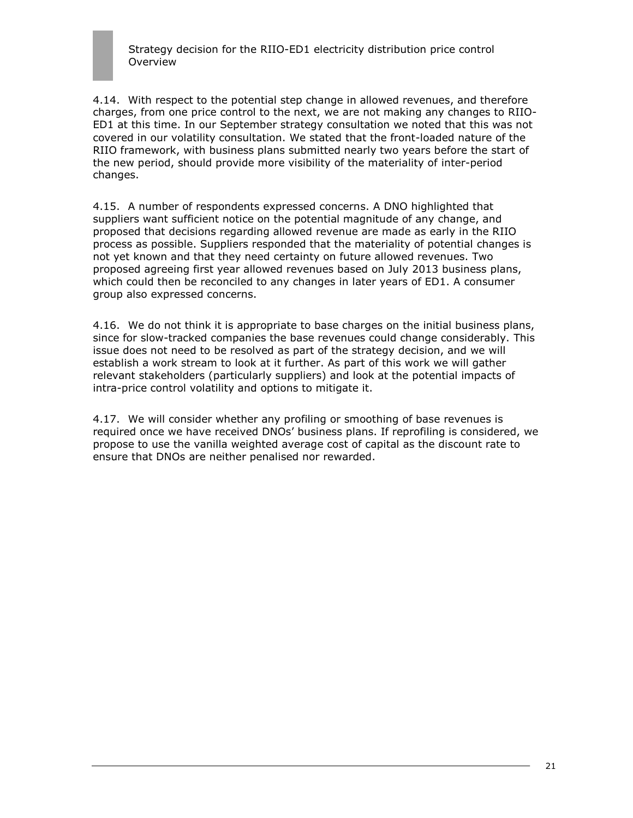4.14. With respect to the potential step change in allowed revenues, and therefore charges, from one price control to the next, we are not making any changes to RIIO-ED1 at this time. In our September strategy consultation we noted that this was not covered in our volatility consultation. We stated that the front-loaded nature of the RIIO framework, with business plans submitted nearly two years before the start of the new period, should provide more visibility of the materiality of inter-period changes.

4.15. A number of respondents expressed concerns. A DNO highlighted that suppliers want sufficient notice on the potential magnitude of any change, and proposed that decisions regarding allowed revenue are made as early in the RIIO process as possible. Suppliers responded that the materiality of potential changes is not yet known and that they need certainty on future allowed revenues. Two proposed agreeing first year allowed revenues based on July 2013 business plans, which could then be reconciled to any changes in later years of ED1. A consumer group also expressed concerns.

4.16. We do not think it is appropriate to base charges on the initial business plans, since for slow-tracked companies the base revenues could change considerably. This issue does not need to be resolved as part of the strategy decision, and we will establish a work stream to look at it further. As part of this work we will gather relevant stakeholders (particularly suppliers) and look at the potential impacts of intra-price control volatility and options to mitigate it.

4.17. We will consider whether any profiling or smoothing of base revenues is required once we have received DNOs" business plans. If reprofiling is considered, we propose to use the vanilla weighted average cost of capital as the discount rate to ensure that DNOs are neither penalised nor rewarded.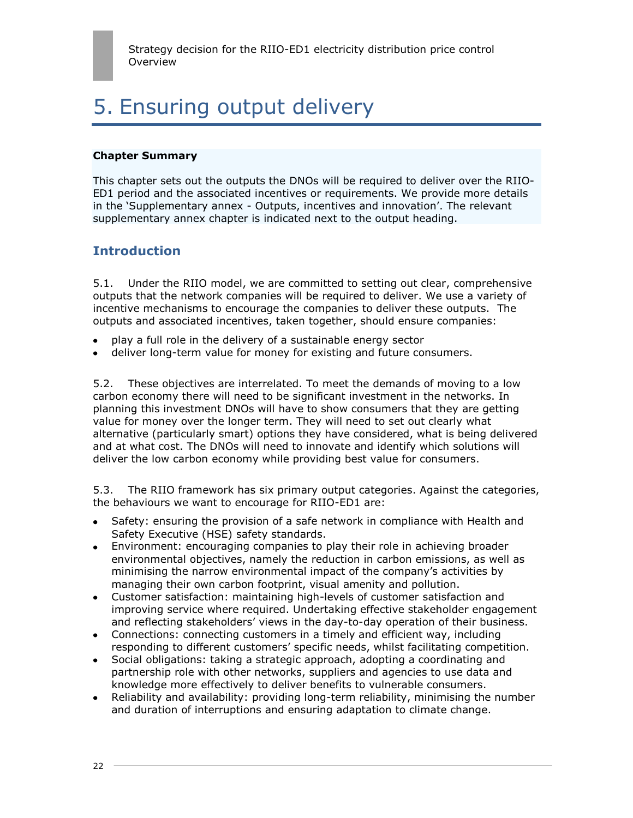# 5. Ensuring output delivery

#### **Chapter Summary**

This chapter sets out the outputs the DNOs will be required to deliver over the RIIO-ED1 period and the associated incentives or requirements. We provide more details in the "Supplementary annex - Outputs, incentives and innovation". The relevant supplementary annex chapter is indicated next to the output heading.

## **Introduction**

5.1. Under the RIIO model, we are committed to setting out clear, comprehensive outputs that the network companies will be required to deliver. We use a variety of incentive mechanisms to encourage the companies to deliver these outputs. The outputs and associated incentives, taken together, should ensure companies:

- play a full role in the delivery of a sustainable energy sector
- deliver long-term value for money for existing and future consumers.

5.2. These objectives are interrelated. To meet the demands of moving to a low carbon economy there will need to be significant investment in the networks. In planning this investment DNOs will have to show consumers that they are getting value for money over the longer term. They will need to set out clearly what alternative (particularly smart) options they have considered, what is being delivered and at what cost. The DNOs will need to innovate and identify which solutions will deliver the low carbon economy while providing best value for consumers.

5.3. The RIIO framework has six primary output categories. Against the categories, the behaviours we want to encourage for RIIO-ED1 are:

- Safety: ensuring the provision of a safe network in compliance with Health and Safety Executive (HSE) safety standards.
- Environment: encouraging companies to play their role in achieving broader environmental objectives, namely the reduction in carbon emissions, as well as minimising the narrow environmental impact of the company"s activities by managing their own carbon footprint, visual amenity and pollution.
- Customer satisfaction: maintaining high-levels of customer satisfaction and improving service where required. Undertaking effective stakeholder engagement and reflecting stakeholders' views in the day-to-day operation of their business.
- Connections: connecting customers in a timely and efficient way, including responding to different customers' specific needs, whilst facilitating competition.
- Social obligations: taking a strategic approach, adopting a coordinating and partnership role with other networks, suppliers and agencies to use data and knowledge more effectively to deliver benefits to vulnerable consumers.
- Reliability and availability: providing long-term reliability, minimising the number and duration of interruptions and ensuring adaptation to climate change.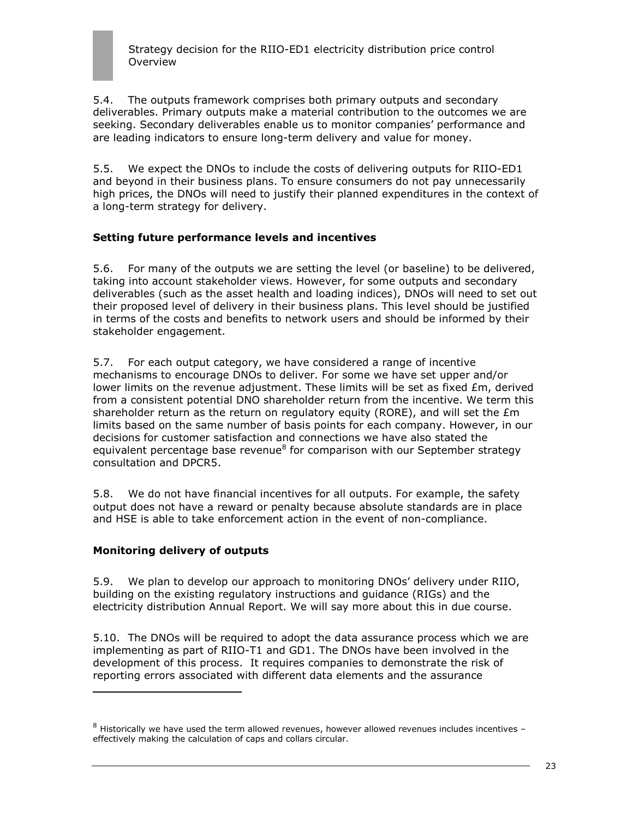5.4. The outputs framework comprises both primary outputs and secondary deliverables. Primary outputs make a material contribution to the outcomes we are seeking. Secondary deliverables enable us to monitor companies" performance and are leading indicators to ensure long-term delivery and value for money.

5.5. We expect the DNOs to include the costs of delivering outputs for RIIO-ED1 and beyond in their business plans. To ensure consumers do not pay unnecessarily high prices, the DNOs will need to justify their planned expenditures in the context of a long-term strategy for delivery.

## **Setting future performance levels and incentives**

5.6. For many of the outputs we are setting the level (or baseline) to be delivered, taking into account stakeholder views. However, for some outputs and secondary deliverables (such as the asset health and loading indices), DNOs will need to set out their proposed level of delivery in their business plans. This level should be justified in terms of the costs and benefits to network users and should be informed by their stakeholder engagement.

5.7. For each output category, we have considered a range of incentive mechanisms to encourage DNOs to deliver. For some we have set upper and/or lower limits on the revenue adjustment. These limits will be set as fixed £m, derived from a consistent potential DNO shareholder return from the incentive. We term this shareholder return as the return on regulatory equity (RORE), and will set the  $Em$ limits based on the same number of basis points for each company. However, in our decisions for customer satisfaction and connections we have also stated the equivalent percentage base revenue<sup>8</sup> for comparison with our September strategy consultation and DPCR5.

5.8. We do not have financial incentives for all outputs. For example, the safety output does not have a reward or penalty because absolute standards are in place and HSE is able to take enforcement action in the event of non-compliance.

### **Monitoring delivery of outputs**

ł

5.9. We plan to develop our approach to monitoring DNOs" delivery under RIIO, building on the existing regulatory instructions and guidance (RIGs) and the electricity distribution Annual Report. We will say more about this in due course.

5.10. The DNOs will be required to adopt the data assurance process which we are implementing as part of RIIO-T1 and GD1. The DNOs have been involved in the development of this process. It requires companies to demonstrate the risk of reporting errors associated with different data elements and the assurance

<sup>8</sup> Historically we have used the term allowed revenues, however allowed revenues includes incentives effectively making the calculation of caps and collars circular.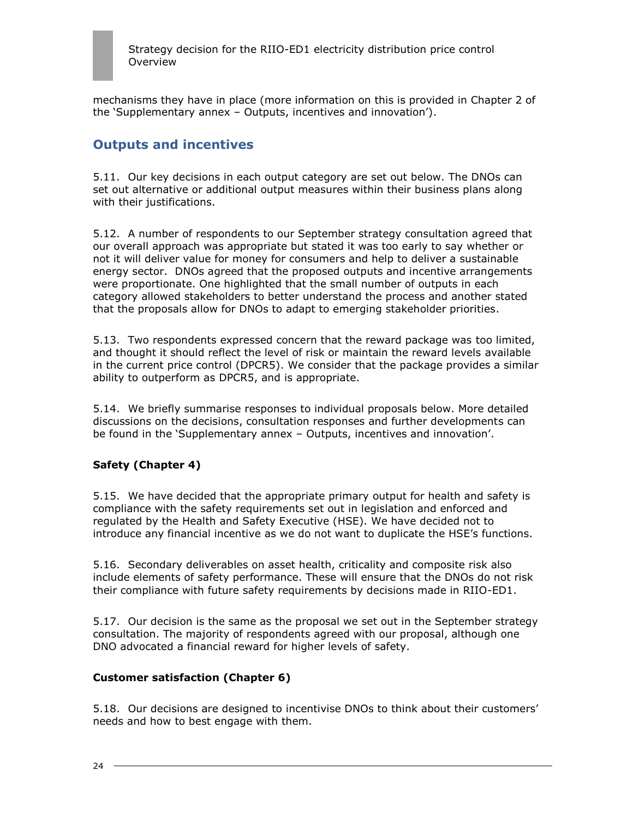

mechanisms they have in place (more information on this is provided in Chapter 2 of the "Supplementary annex – Outputs, incentives and innovation").

## **Outputs and incentives**

5.11. Our key decisions in each output category are set out below. The DNOs can set out alternative or additional output measures within their business plans along with their justifications.

5.12. A number of respondents to our September strategy consultation agreed that our overall approach was appropriate but stated it was too early to say whether or not it will deliver value for money for consumers and help to deliver a sustainable energy sector. DNOs agreed that the proposed outputs and incentive arrangements were proportionate. One highlighted that the small number of outputs in each category allowed stakeholders to better understand the process and another stated that the proposals allow for DNOs to adapt to emerging stakeholder priorities.

5.13. Two respondents expressed concern that the reward package was too limited, and thought it should reflect the level of risk or maintain the reward levels available in the current price control (DPCR5). We consider that the package provides a similar ability to outperform as DPCR5, and is appropriate.

5.14. We briefly summarise responses to individual proposals below. More detailed discussions on the decisions, consultation responses and further developments can be found in the "Supplementary annex – Outputs, incentives and innovation".

### **Safety (Chapter 4)**

5.15. We have decided that the appropriate primary output for health and safety is compliance with the safety requirements set out in legislation and enforced and regulated by the Health and Safety Executive (HSE). We have decided not to introduce any financial incentive as we do not want to duplicate the HSE"s functions.

5.16. Secondary deliverables on asset health, criticality and composite risk also include elements of safety performance. These will ensure that the DNOs do not risk their compliance with future safety requirements by decisions made in RIIO-ED1.

5.17. Our decision is the same as the proposal we set out in the September strategy consultation. The majority of respondents agreed with our proposal, although one DNO advocated a financial reward for higher levels of safety.

#### **Customer satisfaction (Chapter 6)**

5.18. Our decisions are designed to incentivise DNOs to think about their customers" needs and how to best engage with them.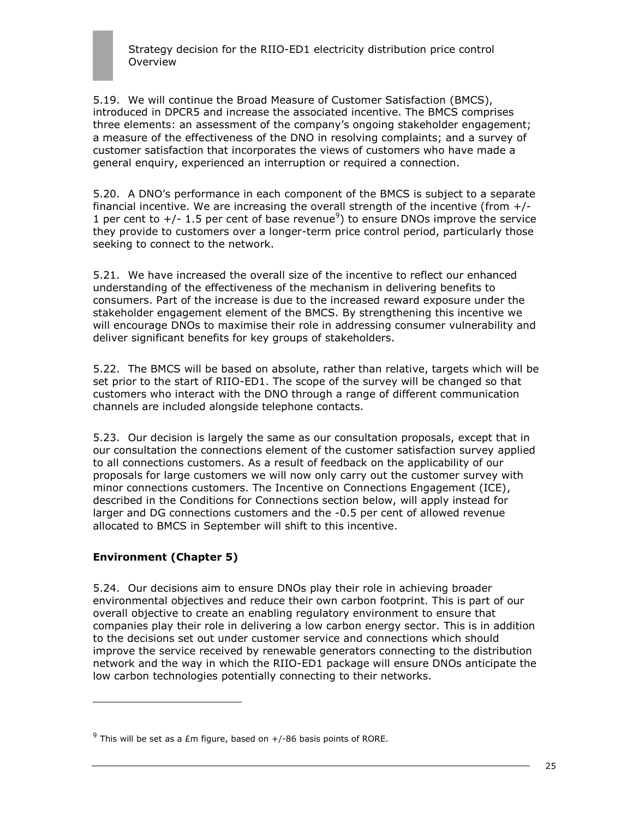5.19. We will continue the Broad Measure of Customer Satisfaction (BMCS), introduced in DPCR5 and increase the associated incentive. The BMCS comprises three elements: an assessment of the company"s ongoing stakeholder engagement; a measure of the effectiveness of the DNO in resolving complaints; and a survey of customer satisfaction that incorporates the views of customers who have made a general enquiry, experienced an interruption or required a connection.

5.20. A DNO"s performance in each component of the BMCS is subject to a separate financial incentive. We are increasing the overall strength of the incentive (from  $+/-$ 1 per cent to  $+/-$  1.5 per cent of base revenue<sup>9</sup>) to ensure DNOs improve the service they provide to customers over a longer-term price control period, particularly those seeking to connect to the network.

5.21. We have increased the overall size of the incentive to reflect our enhanced understanding of the effectiveness of the mechanism in delivering benefits to consumers. Part of the increase is due to the increased reward exposure under the stakeholder engagement element of the BMCS. By strengthening this incentive we will encourage DNOs to maximise their role in addressing consumer vulnerability and deliver significant benefits for key groups of stakeholders.

5.22. The BMCS will be based on absolute, rather than relative, targets which will be set prior to the start of RIIO-ED1. The scope of the survey will be changed so that customers who interact with the DNO through a range of different communication channels are included alongside telephone contacts.

5.23. Our decision is largely the same as our consultation proposals, except that in our consultation the connections element of the customer satisfaction survey applied to all connections customers. As a result of feedback on the applicability of our proposals for large customers we will now only carry out the customer survey with minor connections customers. The Incentive on Connections Engagement (ICE), described in the Conditions for Connections section below, will apply instead for larger and DG connections customers and the -0.5 per cent of allowed revenue allocated to BMCS in September will shift to this incentive.

## **Environment (Chapter 5)**

ł

5.24. Our decisions aim to ensure DNOs play their role in achieving broader environmental objectives and reduce their own carbon footprint. This is part of our overall objective to create an enabling regulatory environment to ensure that companies play their role in delivering a low carbon energy sector. This is in addition to the decisions set out under customer service and connections which should improve the service received by renewable generators connecting to the distribution network and the way in which the RIIO-ED1 package will ensure DNOs anticipate the low carbon technologies potentially connecting to their networks.

 $9$  This will be set as a £m figure, based on  $+/$ -86 basis points of RORE.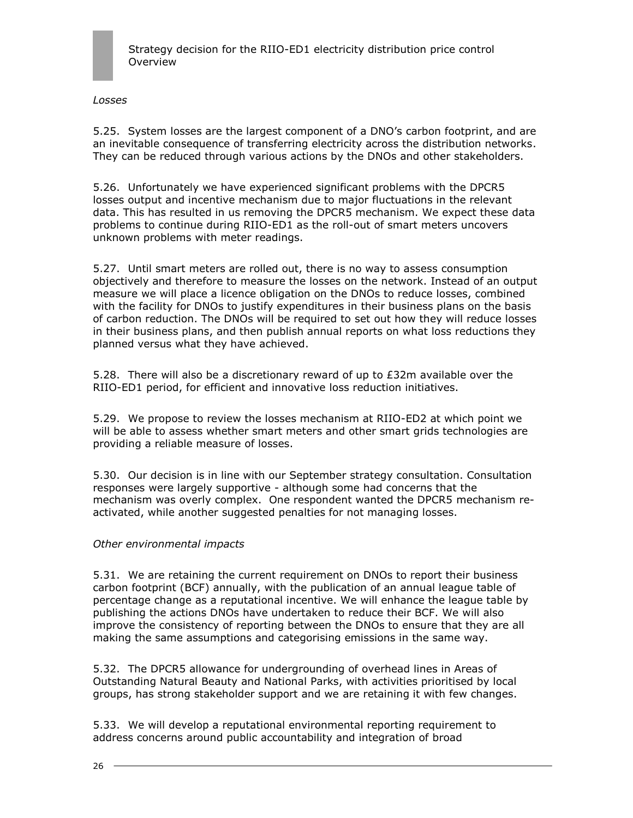

*Losses*

5.25. System losses are the largest component of a DNO"s carbon footprint, and are an inevitable consequence of transferring electricity across the distribution networks. They can be reduced through various actions by the DNOs and other stakeholders.

5.26. Unfortunately we have experienced significant problems with the DPCR5 losses output and incentive mechanism due to major fluctuations in the relevant data. This has resulted in us removing the DPCR5 mechanism. We expect these data problems to continue during RIIO-ED1 as the roll-out of smart meters uncovers unknown problems with meter readings.

5.27. Until smart meters are rolled out, there is no way to assess consumption objectively and therefore to measure the losses on the network. Instead of an output measure we will place a licence obligation on the DNOs to reduce losses, combined with the facility for DNOs to justify expenditures in their business plans on the basis of carbon reduction. The DNOs will be required to set out how they will reduce losses in their business plans, and then publish annual reports on what loss reductions they planned versus what they have achieved.

5.28. There will also be a discretionary reward of up to £32m available over the RIIO-ED1 period, for efficient and innovative loss reduction initiatives.

5.29. We propose to review the losses mechanism at RIIO-ED2 at which point we will be able to assess whether smart meters and other smart grids technologies are providing a reliable measure of losses.

5.30. Our decision is in line with our September strategy consultation. Consultation responses were largely supportive - although some had concerns that the mechanism was overly complex. One respondent wanted the DPCR5 mechanism reactivated, while another suggested penalties for not managing losses.

#### *Other environmental impacts*

5.31. We are retaining the current requirement on DNOs to report their business carbon footprint (BCF) annually, with the publication of an annual league table of percentage change as a reputational incentive. We will enhance the league table by publishing the actions DNOs have undertaken to reduce their BCF. We will also improve the consistency of reporting between the DNOs to ensure that they are all making the same assumptions and categorising emissions in the same way.

5.32. The DPCR5 allowance for undergrounding of overhead lines in Areas of Outstanding Natural Beauty and National Parks, with activities prioritised by local groups, has strong stakeholder support and we are retaining it with few changes.

5.33. We will develop a reputational environmental reporting requirement to address concerns around public accountability and integration of broad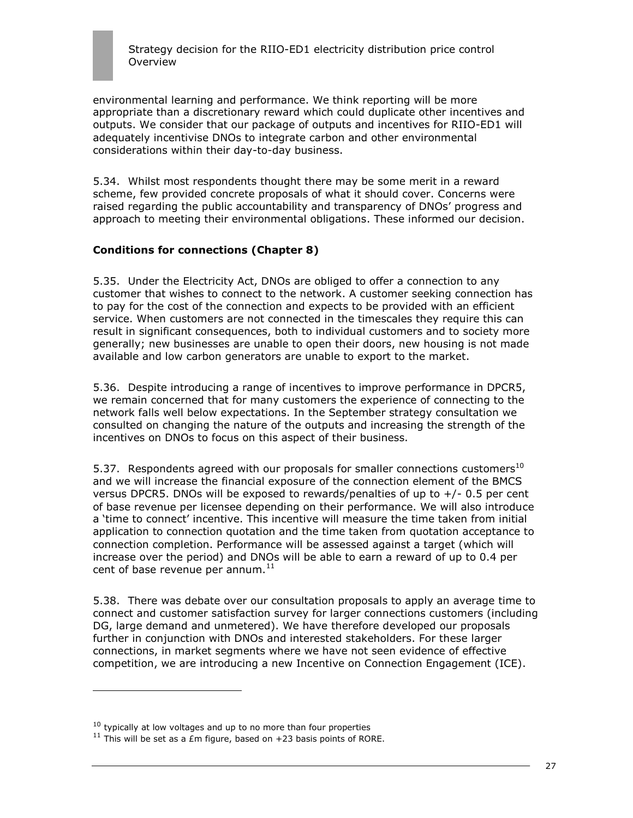environmental learning and performance. We think reporting will be more appropriate than a discretionary reward which could duplicate other incentives and outputs. We consider that our package of outputs and incentives for RIIO-ED1 will adequately incentivise DNOs to integrate carbon and other environmental considerations within their day-to-day business.

5.34. Whilst most respondents thought there may be some merit in a reward scheme, few provided concrete proposals of what it should cover. Concerns were raised regarding the public accountability and transparency of DNOs" progress and approach to meeting their environmental obligations. These informed our decision.

## **Conditions for connections (Chapter 8)**

5.35. Under the Electricity Act, DNOs are obliged to offer a connection to any customer that wishes to connect to the network. A customer seeking connection has to pay for the cost of the connection and expects to be provided with an efficient service. When customers are not connected in the timescales they require this can result in significant consequences, both to individual customers and to society more generally; new businesses are unable to open their doors, new housing is not made available and low carbon generators are unable to export to the market.

5.36. Despite introducing a range of incentives to improve performance in DPCR5, we remain concerned that for many customers the experience of connecting to the network falls well below expectations. In the September strategy consultation we consulted on changing the nature of the outputs and increasing the strength of the incentives on DNOs to focus on this aspect of their business.

5.37. Respondents agreed with our proposals for smaller connections customers<sup>10</sup> and we will increase the financial exposure of the connection element of the BMCS versus DPCR5. DNOs will be exposed to rewards/penalties of up to +/- 0.5 per cent of base revenue per licensee depending on their performance. We will also introduce a "time to connect" incentive. This incentive will measure the time taken from initial application to connection quotation and the time taken from quotation acceptance to connection completion. Performance will be assessed against a target (which will increase over the period) and DNOs will be able to earn a reward of up to 0.4 per cent of base revenue per annum. $11$ 

5.38. There was debate over our consultation proposals to apply an average time to connect and customer satisfaction survey for larger connections customers (including DG, large demand and unmetered). We have therefore developed our proposals further in conjunction with DNOs and interested stakeholders. For these larger connections, in market segments where we have not seen evidence of effective competition, we are introducing a new Incentive on Connection Engagement (ICE).

j.

 $10$  typically at low voltages and up to no more than four properties

<sup>&</sup>lt;sup>11</sup> This will be set as a £m figure, based on +23 basis points of RORE.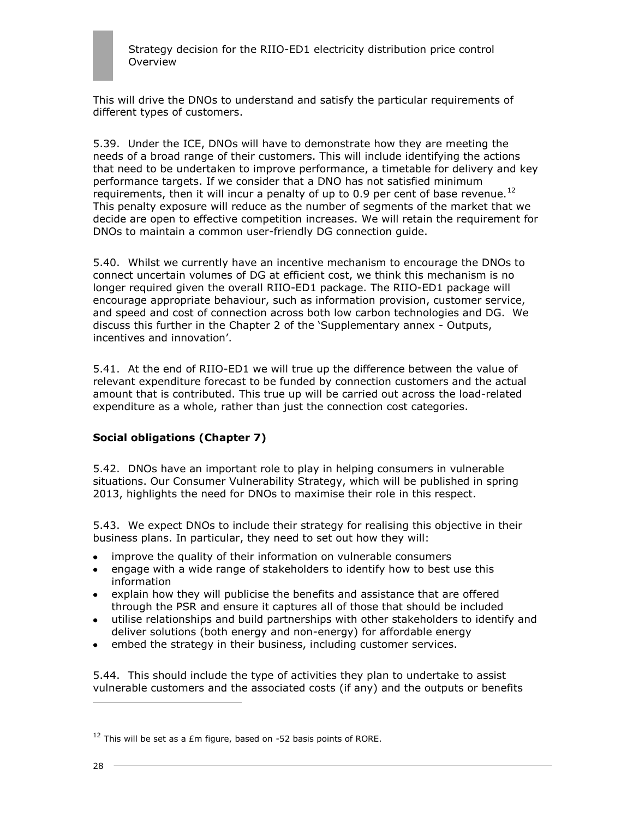This will drive the DNOs to understand and satisfy the particular requirements of different types of customers.

5.39. Under the ICE, DNOs will have to demonstrate how they are meeting the needs of a broad range of their customers. This will include identifying the actions that need to be undertaken to improve performance, a timetable for delivery and key performance targets. If we consider that a DNO has not satisfied minimum requirements, then it will incur a penalty of up to 0.9 per cent of base revenue.<sup>12</sup> This penalty exposure will reduce as the number of segments of the market that we decide are open to effective competition increases. We will retain the requirement for DNOs to maintain a common user-friendly DG connection guide.

5.40. Whilst we currently have an incentive mechanism to encourage the DNOs to connect uncertain volumes of DG at efficient cost, we think this mechanism is no longer required given the overall RIIO-ED1 package. The RIIO-ED1 package will encourage appropriate behaviour, such as information provision, customer service, and speed and cost of connection across both low carbon technologies and DG. We discuss this further in the Chapter 2 of the "Supplementary annex - Outputs, incentives and innovation'.

5.41. At the end of RIIO-ED1 we will true up the difference between the value of relevant expenditure forecast to be funded by connection customers and the actual amount that is contributed. This true up will be carried out across the load-related expenditure as a whole, rather than just the connection cost categories.

## **Social obligations (Chapter 7)**

5.42. DNOs have an important role to play in helping consumers in vulnerable situations. Our Consumer Vulnerability Strategy, which will be published in spring 2013, highlights the need for DNOs to maximise their role in this respect.

5.43. We expect DNOs to include their strategy for realising this objective in their business plans. In particular, they need to set out how they will:

- improve the quality of their information on vulnerable consumers
- engage with a wide range of stakeholders to identify how to best use this  $\bullet$ information
- explain how they will publicise the benefits and assistance that are offered through the PSR and ensure it captures all of those that should be included
- utilise relationships and build partnerships with other stakeholders to identify and deliver solutions (both energy and non-energy) for affordable energy
- embed the strategy in their business, including customer services.

5.44. This should include the type of activities they plan to undertake to assist vulnerable customers and the associated costs (if any) and the outputs or benefits

 $12$  This will be set as a £m figure, based on -52 basis points of RORE.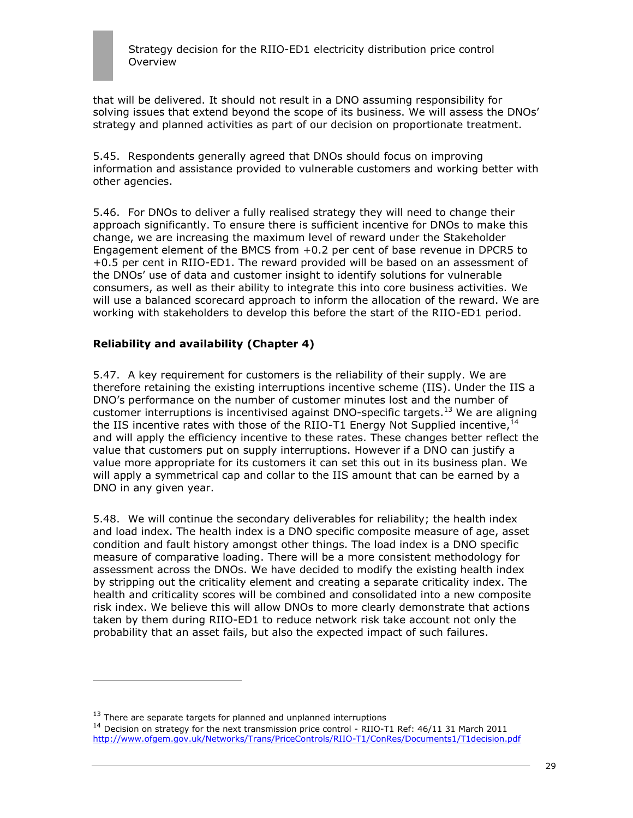

that will be delivered. It should not result in a DNO assuming responsibility for solving issues that extend beyond the scope of its business. We will assess the DNOs' strategy and planned activities as part of our decision on proportionate treatment.

5.45. Respondents generally agreed that DNOs should focus on improving information and assistance provided to vulnerable customers and working better with other agencies.

5.46. For DNOs to deliver a fully realised strategy they will need to change their approach significantly. To ensure there is sufficient incentive for DNOs to make this change, we are increasing the maximum level of reward under the Stakeholder Engagement element of the BMCS from +0.2 per cent of base revenue in DPCR5 to +0.5 per cent in RIIO-ED1. The reward provided will be based on an assessment of the DNOs" use of data and customer insight to identify solutions for vulnerable consumers, as well as their ability to integrate this into core business activities. We will use a balanced scorecard approach to inform the allocation of the reward. We are working with stakeholders to develop this before the start of the RIIO-ED1 period.

### **Reliability and availability (Chapter 4)**

5.47. A key requirement for customers is the reliability of their supply. We are therefore retaining the existing interruptions incentive scheme (IIS). Under the IIS a DNO"s performance on the number of customer minutes lost and the number of customer interruptions is incentivised against DNO-specific targets.<sup>13</sup> We are aligning the IIS incentive rates with those of the RIIO-T1 Energy Not Supplied incentive,  $^{14}$ and will apply the efficiency incentive to these rates. These changes better reflect the value that customers put on supply interruptions. However if a DNO can justify a value more appropriate for its customers it can set this out in its business plan. We will apply a symmetrical cap and collar to the IIS amount that can be earned by a DNO in any given year.

5.48. We will continue the secondary deliverables for reliability; the health index and load index. The health index is a DNO specific composite measure of age, asset condition and fault history amongst other things. The load index is a DNO specific measure of comparative loading. There will be a more consistent methodology for assessment across the DNOs. We have decided to modify the existing health index by stripping out the criticality element and creating a separate criticality index. The health and criticality scores will be combined and consolidated into a new composite risk index. We believe this will allow DNOs to more clearly demonstrate that actions taken by them during RIIO-ED1 to reduce network risk take account not only the probability that an asset fails, but also the expected impact of such failures.

 $13$  There are separate targets for planned and unplanned interruptions

<sup>&</sup>lt;sup>14</sup> Decision on strategy for the next transmission price control - RIIO-T1 Ref: 46/11 31 March 2011 <http://www.ofgem.gov.uk/Networks/Trans/PriceControls/RIIO-T1/ConRes/Documents1/T1decision.pdf>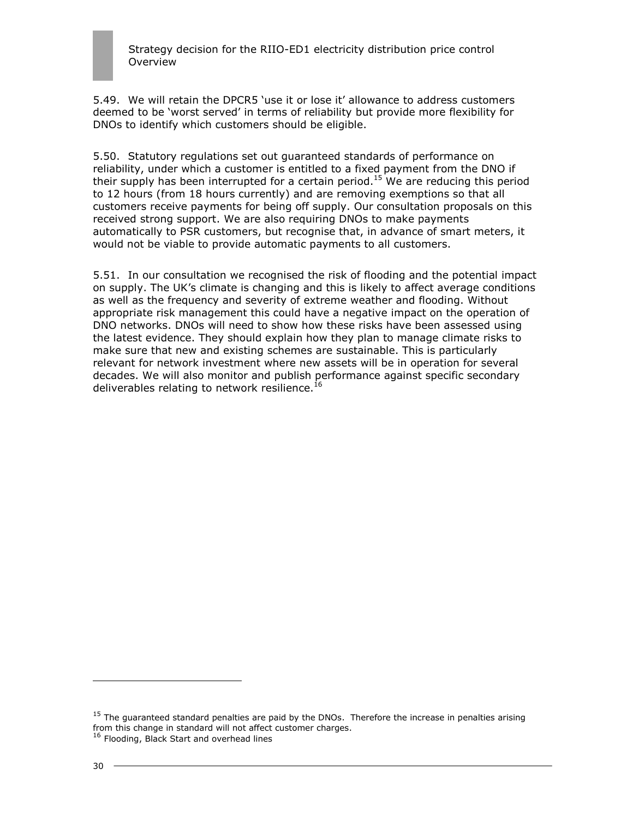5.49. We will retain the DPCR5 "use it or lose it" allowance to address customers deemed to be "worst served" in terms of reliability but provide more flexibility for DNOs to identify which customers should be eligible.

5.50. Statutory regulations set out guaranteed standards of performance on reliability, under which a customer is entitled to a fixed payment from the DNO if their supply has been interrupted for a certain period.<sup>15</sup> We are reducing this period to 12 hours (from 18 hours currently) and are removing exemptions so that all customers receive payments for being off supply. Our consultation proposals on this received strong support. We are also requiring DNOs to make payments automatically to PSR customers, but recognise that, in advance of smart meters, it would not be viable to provide automatic payments to all customers.

5.51. In our consultation we recognised the risk of flooding and the potential impact on supply. The UK"s climate is changing and this is likely to affect average conditions as well as the frequency and severity of extreme weather and flooding. Without appropriate risk management this could have a negative impact on the operation of DNO networks. DNOs will need to show how these risks have been assessed using the latest evidence. They should explain how they plan to manage climate risks to make sure that new and existing schemes are sustainable. This is particularly relevant for network investment where new assets will be in operation for several decades. We will also monitor and publish performance against specific secondary deliverables relating to network resilience. $^{16}$ 

<sup>&</sup>lt;sup>15</sup> The guaranteed standard penalties are paid by the DNOs. Therefore the increase in penalties arising from this change in standard will not affect customer charges.

<sup>&</sup>lt;sup>16</sup> Flooding, Black Start and overhead lines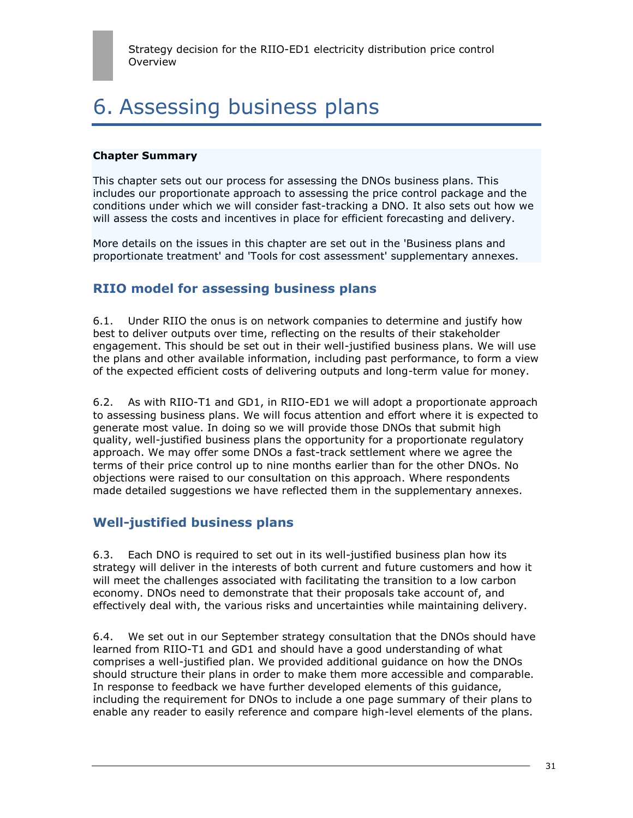## 6. Assessing business plans

#### **Chapter Summary**

This chapter sets out our process for assessing the DNOs business plans. This includes our proportionate approach to assessing the price control package and the conditions under which we will consider fast-tracking a DNO. It also sets out how we will assess the costs and incentives in place for efficient forecasting and delivery.

More details on the issues in this chapter are set out in the 'Business plans and proportionate treatment' and 'Tools for cost assessment' supplementary annexes.

## **RIIO model for assessing business plans**

6.1. Under RIIO the onus is on network companies to determine and justify how best to deliver outputs over time, reflecting on the results of their stakeholder engagement. This should be set out in their well-justified business plans. We will use the plans and other available information, including past performance, to form a view of the expected efficient costs of delivering outputs and long-term value for money.

6.2. As with RIIO-T1 and GD1, in RIIO-ED1 we will adopt a proportionate approach to assessing business plans. We will focus attention and effort where it is expected to generate most value. In doing so we will provide those DNOs that submit high quality, well-justified business plans the opportunity for a proportionate regulatory approach. We may offer some DNOs a fast-track settlement where we agree the terms of their price control up to nine months earlier than for the other DNOs. No objections were raised to our consultation on this approach. Where respondents made detailed suggestions we have reflected them in the supplementary annexes.

## **Well-justified business plans**

6.3. Each DNO is required to set out in its well-justified business plan how its strategy will deliver in the interests of both current and future customers and how it will meet the challenges associated with facilitating the transition to a low carbon economy. DNOs need to demonstrate that their proposals take account of, and effectively deal with, the various risks and uncertainties while maintaining delivery.

6.4. We set out in our September strategy consultation that the DNOs should have learned from RIIO-T1 and GD1 and should have a good understanding of what comprises a well-justified plan. We provided additional guidance on how the DNOs should structure their plans in order to make them more accessible and comparable. In response to feedback we have further developed elements of this guidance, including the requirement for DNOs to include a one page summary of their plans to enable any reader to easily reference and compare high-level elements of the plans.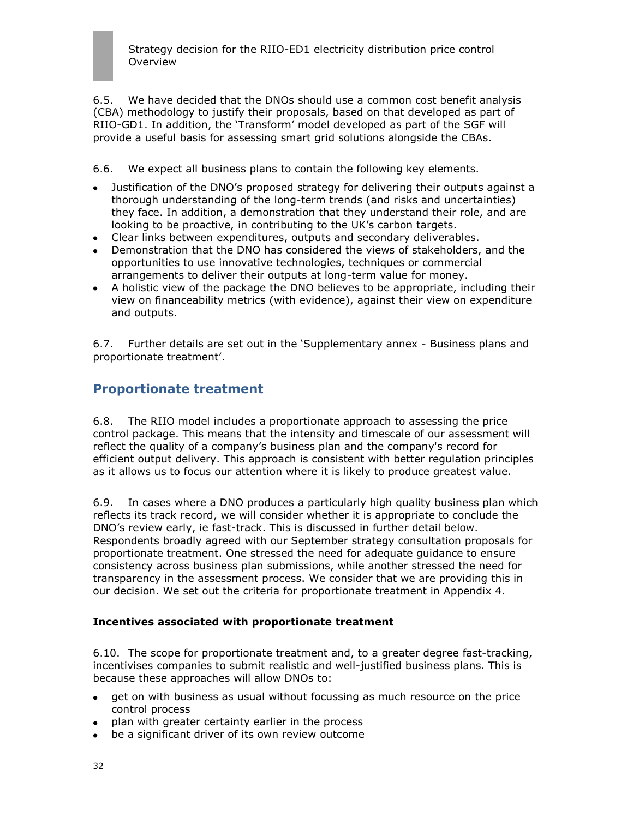6.5. We have decided that the DNOs should use a common cost benefit analysis (CBA) methodology to justify their proposals, based on that developed as part of RIIO-GD1. In addition, the "Transform" model developed as part of the SGF will provide a useful basis for assessing smart grid solutions alongside the CBAs.

6.6. We expect all business plans to contain the following key elements.

- Justification of the DNO"s proposed strategy for delivering their outputs against a thorough understanding of the long-term trends (and risks and uncertainties) they face. In addition, a demonstration that they understand their role, and are looking to be proactive, in contributing to the UK"s carbon targets.
- Clear links between expenditures, outputs and secondary deliverables.
- Demonstration that the DNO has considered the views of stakeholders, and the opportunities to use innovative technologies, techniques or commercial arrangements to deliver their outputs at long-term value for money.
- A holistic view of the package the DNO believes to be appropriate, including their view on financeability metrics (with evidence), against their view on expenditure and outputs.

6.7. Further details are set out in the "Supplementary annex - Business plans and proportionate treatment'.

## **Proportionate treatment**

6.8. The RIIO model includes a proportionate approach to assessing the price control package. This means that the intensity and timescale of our assessment will reflect the quality of a company"s business plan and the company's record for efficient output delivery. This approach is consistent with better regulation principles as it allows us to focus our attention where it is likely to produce greatest value.

6.9. In cases where a DNO produces a particularly high quality business plan which reflects its track record, we will consider whether it is appropriate to conclude the DNO"s review early, ie fast-track. This is discussed in further detail below. Respondents broadly agreed with our September strategy consultation proposals for proportionate treatment. One stressed the need for adequate guidance to ensure consistency across business plan submissions, while another stressed the need for transparency in the assessment process. We consider that we are providing this in our decision. We set out the criteria for proportionate treatment in Appendix 4.

#### **Incentives associated with proportionate treatment**

6.10. The scope for proportionate treatment and, to a greater degree fast-tracking, incentivises companies to submit realistic and well-justified business plans. This is because these approaches will allow DNOs to:

- get on with business as usual without focussing as much resource on the price  $\bullet$ control process
- plan with greater certainty earlier in the process
- be a significant driver of its own review outcome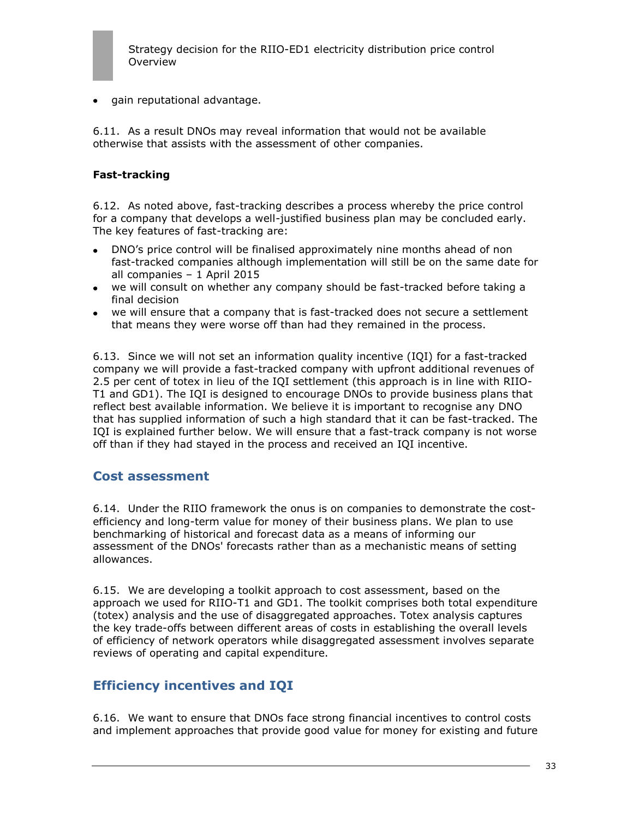

• gain reputational advantage.

6.11. As a result DNOs may reveal information that would not be available otherwise that assists with the assessment of other companies.

#### **Fast-tracking**

6.12. As noted above, fast-tracking describes a process whereby the price control for a company that develops a well-justified business plan may be concluded early. The key features of fast-tracking are:

- DNO"s price control will be finalised approximately nine months ahead of non fast-tracked companies although implementation will still be on the same date for all companies – 1 April 2015
- we will consult on whether any company should be fast-tracked before taking a final decision
- we will ensure that a company that is fast-tracked does not secure a settlement that means they were worse off than had they remained in the process.

6.13. Since we will not set an information quality incentive (IQI) for a fast-tracked company we will provide a fast-tracked company with upfront additional revenues of 2.5 per cent of totex in lieu of the IQI settlement (this approach is in line with RIIO-T1 and GD1). The IQI is designed to encourage DNOs to provide business plans that reflect best available information. We believe it is important to recognise any DNO that has supplied information of such a high standard that it can be fast-tracked. The IQI is explained further below. We will ensure that a fast-track company is not worse off than if they had stayed in the process and received an IQI incentive.

### **Cost assessment**

6.14. Under the RIIO framework the onus is on companies to demonstrate the costefficiency and long-term value for money of their business plans. We plan to use benchmarking of historical and forecast data as a means of informing our assessment of the DNOs' forecasts rather than as a mechanistic means of setting allowances.

6.15. We are developing a toolkit approach to cost assessment, based on the approach we used for RIIO-T1 and GD1. The toolkit comprises both total expenditure (totex) analysis and the use of disaggregated approaches. Totex analysis captures the key trade-offs between different areas of costs in establishing the overall levels of efficiency of network operators while disaggregated assessment involves separate reviews of operating and capital expenditure.

## **Efficiency incentives and IQI**

6.16. We want to ensure that DNOs face strong financial incentives to control costs and implement approaches that provide good value for money for existing and future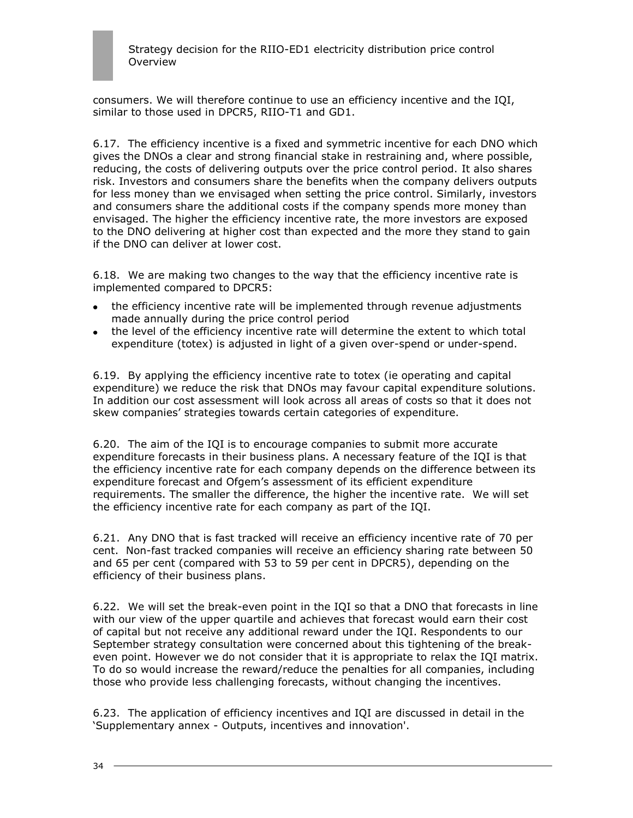consumers. We will therefore continue to use an efficiency incentive and the IQI, similar to those used in DPCR5, RIIO-T1 and GD1.

6.17. The efficiency incentive is a fixed and symmetric incentive for each DNO which gives the DNOs a clear and strong financial stake in restraining and, where possible, reducing, the costs of delivering outputs over the price control period. It also shares risk. Investors and consumers share the benefits when the company delivers outputs for less money than we envisaged when setting the price control. Similarly, investors and consumers share the additional costs if the company spends more money than envisaged. The higher the efficiency incentive rate, the more investors are exposed to the DNO delivering at higher cost than expected and the more they stand to gain if the DNO can deliver at lower cost.

6.18. We are making two changes to the way that the efficiency incentive rate is implemented compared to DPCR5:

- the efficiency incentive rate will be implemented through revenue adjustments  $\bullet$ made annually during the price control period
- the level of the efficiency incentive rate will determine the extent to which total expenditure (totex) is adjusted in light of a given over-spend or under-spend.

6.19. By applying the efficiency incentive rate to totex (ie operating and capital expenditure) we reduce the risk that DNOs may favour capital expenditure solutions. In addition our cost assessment will look across all areas of costs so that it does not skew companies" strategies towards certain categories of expenditure.

6.20. The aim of the IQI is to encourage companies to submit more accurate expenditure forecasts in their business plans. A necessary feature of the IQI is that the efficiency incentive rate for each company depends on the difference between its expenditure forecast and Ofgem"s assessment of its efficient expenditure requirements. The smaller the difference, the higher the incentive rate. We will set the efficiency incentive rate for each company as part of the IQI.

6.21. Any DNO that is fast tracked will receive an efficiency incentive rate of 70 per cent. Non-fast tracked companies will receive an efficiency sharing rate between 50 and 65 per cent (compared with 53 to 59 per cent in DPCR5), depending on the efficiency of their business plans.

6.22. We will set the break-even point in the IQI so that a DNO that forecasts in line with our view of the upper quartile and achieves that forecast would earn their cost of capital but not receive any additional reward under the IQI. Respondents to our September strategy consultation were concerned about this tightening of the breakeven point. However we do not consider that it is appropriate to relax the IQI matrix. To do so would increase the reward/reduce the penalties for all companies, including those who provide less challenging forecasts, without changing the incentives.

6.23. The application of efficiency incentives and IQI are discussed in detail in the "Supplementary annex - Outputs, incentives and innovation'.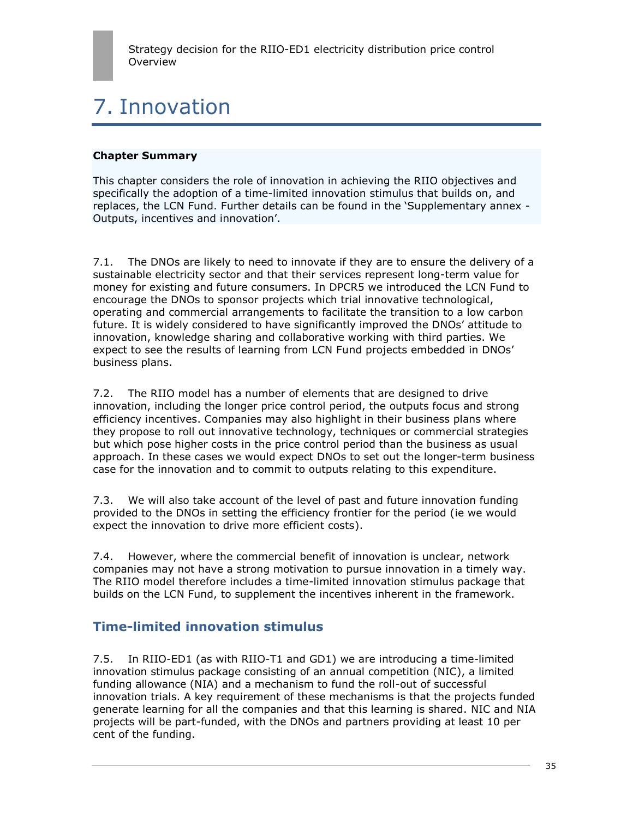# 7. Innovation

## **Chapter Summary**

This chapter considers the role of innovation in achieving the RIIO objectives and specifically the adoption of a time-limited innovation stimulus that builds on, and replaces, the LCN Fund. Further details can be found in the "Supplementary annex - Outputs, incentives and innovation'.

7.1. The DNOs are likely to need to innovate if they are to ensure the delivery of a sustainable electricity sector and that their services represent long-term value for money for existing and future consumers. In DPCR5 we introduced the LCN Fund to encourage the DNOs to sponsor projects which trial innovative technological, operating and commercial arrangements to facilitate the transition to a low carbon future. It is widely considered to have significantly improved the DNOs' attitude to innovation, knowledge sharing and collaborative working with third parties. We expect to see the results of learning from LCN Fund projects embedded in DNOs' business plans.

7.2. The RIIO model has a number of elements that are designed to drive innovation, including the longer price control period, the outputs focus and strong efficiency incentives. Companies may also highlight in their business plans where they propose to roll out innovative technology, techniques or commercial strategies but which pose higher costs in the price control period than the business as usual approach. In these cases we would expect DNOs to set out the longer-term business case for the innovation and to commit to outputs relating to this expenditure.

7.3. We will also take account of the level of past and future innovation funding provided to the DNOs in setting the efficiency frontier for the period (ie we would expect the innovation to drive more efficient costs).

7.4. However, where the commercial benefit of innovation is unclear, network companies may not have a strong motivation to pursue innovation in a timely way. The RIIO model therefore includes a time-limited innovation stimulus package that builds on the LCN Fund, to supplement the incentives inherent in the framework.

## **Time-limited innovation stimulus**

7.5. In RIIO-ED1 (as with RIIO-T1 and GD1) we are introducing a time-limited innovation stimulus package consisting of an annual competition (NIC), a limited funding allowance (NIA) and a mechanism to fund the roll-out of successful innovation trials. A key requirement of these mechanisms is that the projects funded generate learning for all the companies and that this learning is shared. NIC and NIA projects will be part-funded, with the DNOs and partners providing at least 10 per cent of the funding.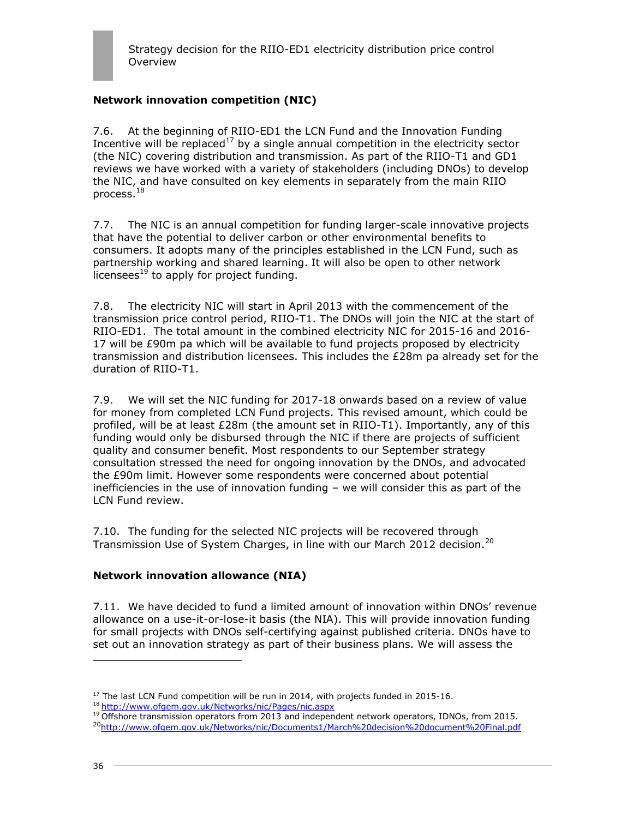## **Network innovation competition (NIC)**

7.6. At the beginning of RIIO-ED1 the LCN Fund and the Innovation Funding Incentive will be replaced<sup>17</sup> by a single annual competition in the electricity sector (the NIC) covering distribution and transmission. As part of the RIIO-T1 and GD1 reviews we have worked with a variety of stakeholders (including DNOs) to develop the NIC, and have consulted on key elements in separately from the main RIIO process. $^{18}$ 

7.7. The NIC is an annual competition for funding larger-scale innovative projects that have the potential to deliver carbon or other environmental benefits to consumers. It adopts many of the principles established in the LCN Fund, such as partnership working and shared learning. It will also be open to other network  $licenses<sup>19</sup>$  to apply for project funding.

7.8. The electricity NIC will start in April 2013 with the commencement of the transmission price control period, RIIO-T1. The DNOs will join the NIC at the start of RIIO-ED1. The total amount in the combined electricity NIC for 2015-16 and 2016- 17 will be £90m pa which will be available to fund projects proposed by electricity transmission and distribution licensees. This includes the £28m pa already set for the duration of RIIO-T1.

7.9. We will set the NIC funding for 2017-18 onwards based on a review of value for money from completed LCN Fund projects. This revised amount, which could be profiled, will be at least £28m (the amount set in RIIO-T1). Importantly, any of this funding would only be disbursed through the NIC if there are projects of sufficient quality and consumer benefit. Most respondents to our September strategy consultation stressed the need for ongoing innovation by the DNOs, and advocated the £90m limit. However some respondents were concerned about potential inefficiencies in the use of innovation funding – we will consider this as part of the LCN Fund review.

7.10. The funding for the selected NIC projects will be recovered through Transmission Use of System Charges, in line with our March 2012 decision.<sup>20</sup>

### **Network innovation allowance (NIA)**

7.11. We have decided to fund a limited amount of innovation within DNOs" revenue allowance on a use-it-or-lose-it basis (the NIA). This will provide innovation funding for small projects with DNOs self-certifying against published criteria. DNOs have to set out an innovation strategy as part of their business plans. We will assess the

<sup>19</sup> Offshore transmission operators from 2013 and independent network operators, IDNOs, from 2015. <sup>20</sup><http://www.ofgem.gov.uk/Networks/nic/Documents1/March%20decision%20document%20Final.pdf>

<sup>&</sup>lt;sup>17</sup> The last LCN Fund competition will be run in 2014, with projects funded in 2015-16.

<sup>18</sup> <http://www.ofgem.gov.uk/Networks/nic/Pages/nic.aspx>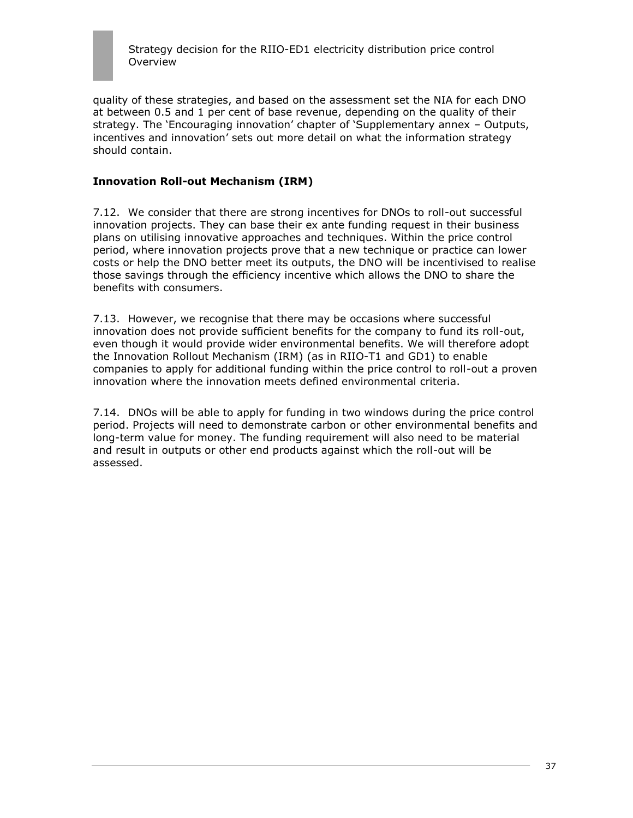

quality of these strategies, and based on the assessment set the NIA for each DNO at between 0.5 and 1 per cent of base revenue, depending on the quality of their strategy. The "Encouraging innovation" chapter of "Supplementary annex – Outputs, incentives and innovation" sets out more detail on what the information strategy should contain.

#### **Innovation Roll-out Mechanism (IRM)**

7.12. We consider that there are strong incentives for DNOs to roll-out successful innovation projects. They can base their ex ante funding request in their business plans on utilising innovative approaches and techniques. Within the price control period, where innovation projects prove that a new technique or practice can lower costs or help the DNO better meet its outputs, the DNO will be incentivised to realise those savings through the efficiency incentive which allows the DNO to share the benefits with consumers.

7.13. However, we recognise that there may be occasions where successful innovation does not provide sufficient benefits for the company to fund its roll-out, even though it would provide wider environmental benefits. We will therefore adopt the Innovation Rollout Mechanism (IRM) (as in RIIO-T1 and GD1) to enable companies to apply for additional funding within the price control to roll-out a proven innovation where the innovation meets defined environmental criteria.

7.14. DNOs will be able to apply for funding in two windows during the price control period. Projects will need to demonstrate carbon or other environmental benefits and long-term value for money. The funding requirement will also need to be material and result in outputs or other end products against which the roll-out will be assessed.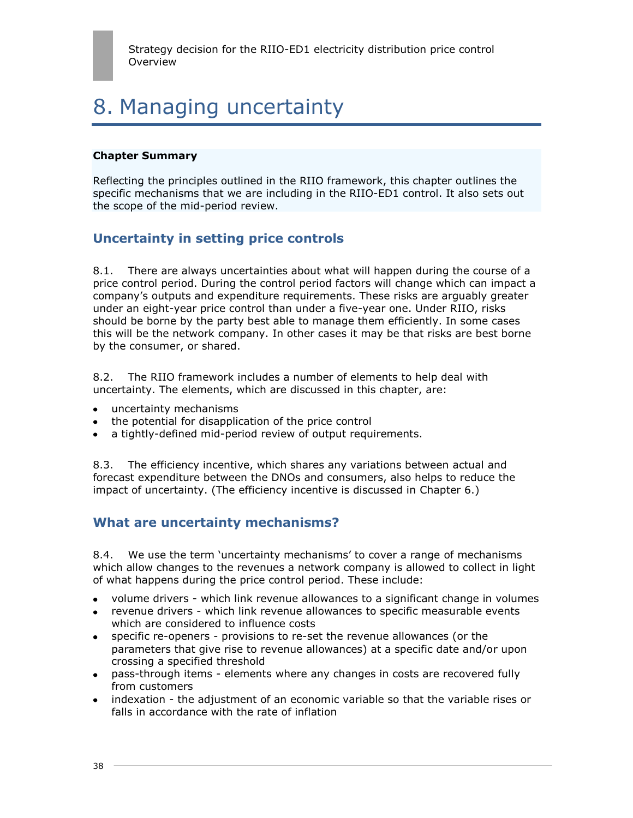# 8. Managing uncertainty

#### **Chapter Summary**

Reflecting the principles outlined in the RIIO framework, this chapter outlines the specific mechanisms that we are including in the RIIO-ED1 control. It also sets out the scope of the mid-period review.

## **Uncertainty in setting price controls**

8.1. There are always uncertainties about what will happen during the course of a price control period. During the control period factors will change which can impact a company"s outputs and expenditure requirements. These risks are arguably greater under an eight-year price control than under a five-year one. Under RIIO, risks should be borne by the party best able to manage them efficiently. In some cases this will be the network company. In other cases it may be that risks are best borne by the consumer, or shared.

8.2. The RIIO framework includes a number of elements to help deal with uncertainty. The elements, which are discussed in this chapter, are:

- uncertainty mechanisms
- the potential for disapplication of the price control
- a tightly-defined mid-period review of output requirements.

8.3. The efficiency incentive, which shares any variations between actual and forecast expenditure between the DNOs and consumers, also helps to reduce the impact of uncertainty. (The efficiency incentive is discussed in Chapter 6.)

## **What are uncertainty mechanisms?**

8.4. We use the term "uncertainty mechanisms" to cover a range of mechanisms which allow changes to the revenues a network company is allowed to collect in light of what happens during the price control period. These include:

- volume drivers which link revenue allowances to a significant change in volumes
- revenue drivers which link revenue allowances to specific measurable events which are considered to influence costs
- specific re-openers provisions to re-set the revenue allowances (or the parameters that give rise to revenue allowances) at a specific date and/or upon crossing a specified threshold
- pass-through items elements where any changes in costs are recovered fully from customers
- indexation the adjustment of an economic variable so that the variable rises or falls in accordance with the rate of inflation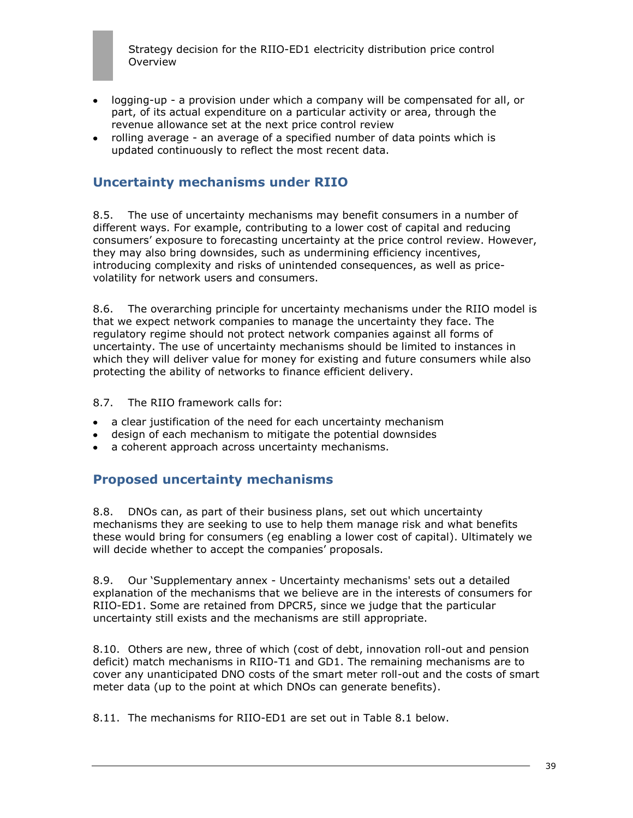- logging-up a provision under which a company will be compensated for all, or part, of its actual expenditure on a particular activity or area, through the revenue allowance set at the next price control review
- rolling average an average of a specified number of data points which is updated continuously to reflect the most recent data.

## **Uncertainty mechanisms under RIIO**

8.5. The use of uncertainty mechanisms may benefit consumers in a number of different ways. For example, contributing to a lower cost of capital and reducing consumers" exposure to forecasting uncertainty at the price control review. However, they may also bring downsides, such as undermining efficiency incentives, introducing complexity and risks of unintended consequences, as well as pricevolatility for network users and consumers.

8.6. The overarching principle for uncertainty mechanisms under the RIIO model is that we expect network companies to manage the uncertainty they face. The regulatory regime should not protect network companies against all forms of uncertainty. The use of uncertainty mechanisms should be limited to instances in which they will deliver value for money for existing and future consumers while also protecting the ability of networks to finance efficient delivery.

8.7. The RIIO framework calls for:

- a clear justification of the need for each uncertainty mechanism
- design of each mechanism to mitigate the potential downsides
- a coherent approach across uncertainty mechanisms.

## **Proposed uncertainty mechanisms**

8.8. DNOs can, as part of their business plans, set out which uncertainty mechanisms they are seeking to use to help them manage risk and what benefits these would bring for consumers (eg enabling a lower cost of capital). Ultimately we will decide whether to accept the companies' proposals.

8.9. Our "Supplementary annex - Uncertainty mechanisms' sets out a detailed explanation of the mechanisms that we believe are in the interests of consumers for RIIO-ED1. Some are retained from DPCR5, since we judge that the particular uncertainty still exists and the mechanisms are still appropriate.

8.10. Others are new, three of which (cost of debt, innovation roll-out and pension deficit) match mechanisms in RIIO-T1 and GD1. The remaining mechanisms are to cover any unanticipated DNO costs of the smart meter roll-out and the costs of smart meter data (up to the point at which DNOs can generate benefits).

8.11. The mechanisms for RIIO-ED1 are set out in Table 8.1 below.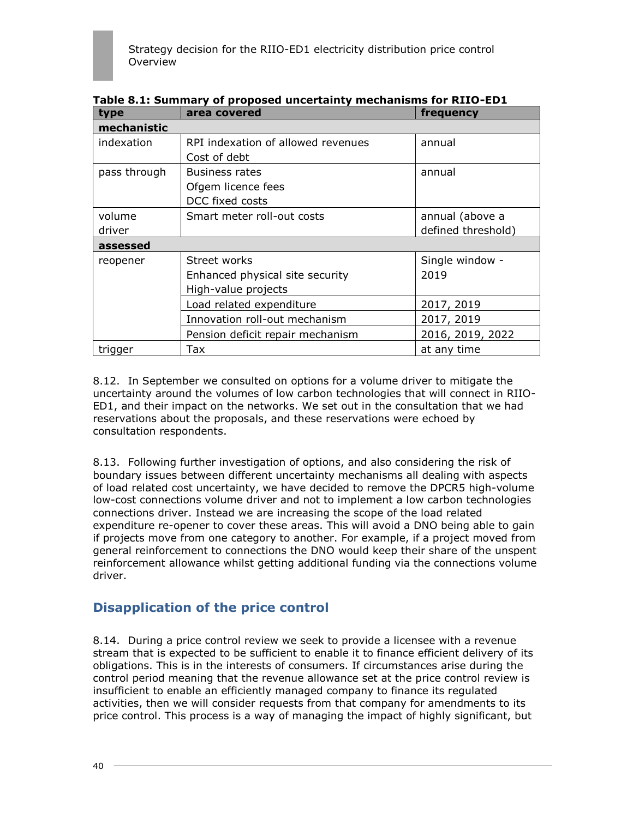| type         | area covered                       | frequency          |  |  |
|--------------|------------------------------------|--------------------|--|--|
| mechanistic  |                                    |                    |  |  |
| indexation   | RPI indexation of allowed revenues | annual             |  |  |
|              | Cost of debt                       |                    |  |  |
| pass through | <b>Business rates</b>              | annual             |  |  |
|              | Ofgem licence fees                 |                    |  |  |
|              | DCC fixed costs                    |                    |  |  |
| volume       | Smart meter roll-out costs         | annual (above a    |  |  |
| driver       |                                    | defined threshold) |  |  |
| assessed     |                                    |                    |  |  |
| reopener     | Street works                       | Single window -    |  |  |
|              | Enhanced physical site security    | 2019               |  |  |
|              | High-value projects                |                    |  |  |
|              | Load related expenditure           | 2017, 2019         |  |  |
|              | Innovation roll-out mechanism      | 2017, 2019         |  |  |
|              | Pension deficit repair mechanism   | 2016, 2019, 2022   |  |  |
| trigger      | Tax                                | at any time        |  |  |

**Table 8.1: Summary of proposed uncertainty mechanisms for RIIO-ED1**

8.12. In September we consulted on options for a volume driver to mitigate the uncertainty around the volumes of low carbon technologies that will connect in RIIO-ED1, and their impact on the networks. We set out in the consultation that we had reservations about the proposals, and these reservations were echoed by consultation respondents.

8.13. Following further investigation of options, and also considering the risk of boundary issues between different uncertainty mechanisms all dealing with aspects of load related cost uncertainty, we have decided to remove the DPCR5 high-volume low-cost connections volume driver and not to implement a low carbon technologies connections driver. Instead we are increasing the scope of the load related expenditure re-opener to cover these areas. This will avoid a DNO being able to gain if projects move from one category to another. For example, if a project moved from general reinforcement to connections the DNO would keep their share of the unspent reinforcement allowance whilst getting additional funding via the connections volume driver.

## **Disapplication of the price control**

8.14. During a price control review we seek to provide a licensee with a revenue stream that is expected to be sufficient to enable it to finance efficient delivery of its obligations. This is in the interests of consumers. If circumstances arise during the control period meaning that the revenue allowance set at the price control review is insufficient to enable an efficiently managed company to finance its regulated activities, then we will consider requests from that company for amendments to its price control. This process is a way of managing the impact of highly significant, but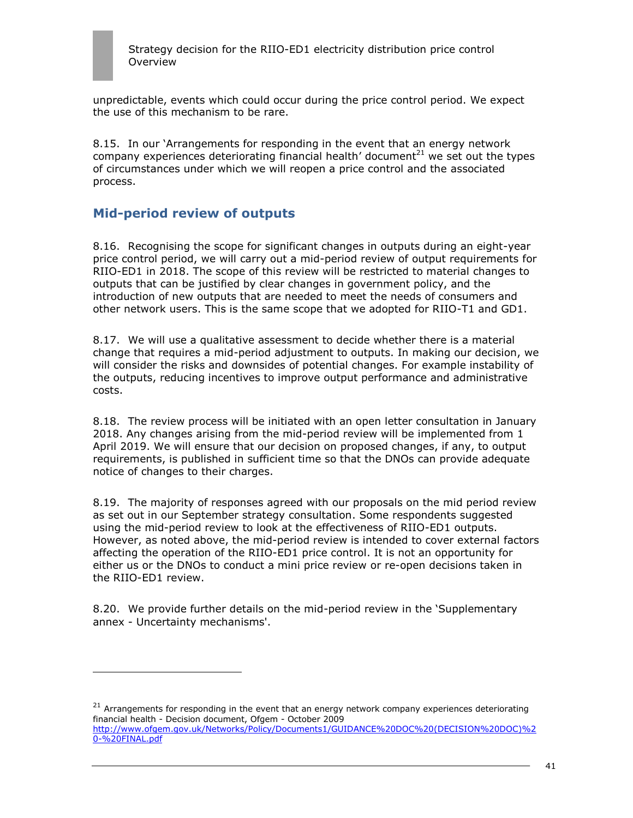

unpredictable, events which could occur during the price control period. We expect the use of this mechanism to be rare.

8.15. In our "Arrangements for responding in the event that an energy network company experiences deteriorating financial health' document $^{21}$  we set out the types of circumstances under which we will reopen a price control and the associated process.

## **Mid-period review of outputs**

ł

8.16. Recognising the scope for significant changes in outputs during an eight-year price control period, we will carry out a mid-period review of output requirements for RIIO-ED1 in 2018. The scope of this review will be restricted to material changes to outputs that can be justified by clear changes in government policy, and the introduction of new outputs that are needed to meet the needs of consumers and other network users. This is the same scope that we adopted for RIIO-T1 and GD1.

8.17. We will use a qualitative assessment to decide whether there is a material change that requires a mid-period adjustment to outputs. In making our decision, we will consider the risks and downsides of potential changes. For example instability of the outputs, reducing incentives to improve output performance and administrative costs.

8.18. The review process will be initiated with an open letter consultation in January 2018. Any changes arising from the mid-period review will be implemented from 1 April 2019. We will ensure that our decision on proposed changes, if any, to output requirements, is published in sufficient time so that the DNOs can provide adequate notice of changes to their charges.

8.19. The majority of responses agreed with our proposals on the mid period review as set out in our September strategy consultation. Some respondents suggested using the mid-period review to look at the effectiveness of RIIO-ED1 outputs. However, as noted above, the mid-period review is intended to cover external factors affecting the operation of the RIIO-ED1 price control. It is not an opportunity for either us or the DNOs to conduct a mini price review or re-open decisions taken in the RIIO-ED1 review.

8.20. We provide further details on the mid-period review in the "Supplementary annex - Uncertainty mechanisms'.

 $21$  Arrangements for responding in the event that an energy network company experiences deteriorating financial health - Decision document, Ofgem - October 2009 [http://www.ofgem.gov.uk/Networks/Policy/Documents1/GUIDANCE%20DOC%20\(DECISION%20DOC\)%2](http://www.ofgem.gov.uk/Networks/Policy/Documents1/GUIDANCE%20DOC%20(DECISION%20DOC)%20-%20FINAL.pdf) [0-%20FINAL.pdf](http://www.ofgem.gov.uk/Networks/Policy/Documents1/GUIDANCE%20DOC%20(DECISION%20DOC)%20-%20FINAL.pdf)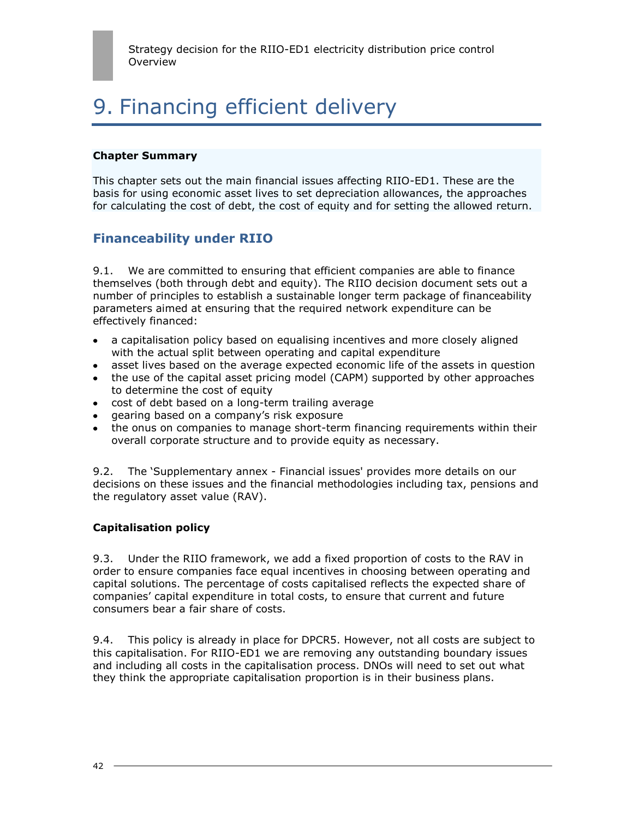# 9. Financing efficient delivery

#### **Chapter Summary**

This chapter sets out the main financial issues affecting RIIO-ED1. These are the basis for using economic asset lives to set depreciation allowances, the approaches for calculating the cost of debt, the cost of equity and for setting the allowed return.

## **Financeability under RIIO**

9.1. We are committed to ensuring that efficient companies are able to finance themselves (both through debt and equity). The RIIO decision document sets out a number of principles to establish a sustainable longer term package of financeability parameters aimed at ensuring that the required network expenditure can be effectively financed:

- a capitalisation policy based on equalising incentives and more closely aligned with the actual split between operating and capital expenditure
- asset lives based on the average expected economic life of the assets in question  $\bullet$  .
- the use of the capital asset pricing model (CAPM) supported by other approaches to determine the cost of equity
- cost of debt based on a long-term trailing average
- gearing based on a company"s risk exposure
- the onus on companies to manage short-term financing requirements within their overall corporate structure and to provide equity as necessary.

9.2. The "Supplementary annex - Financial issues' provides more details on our decisions on these issues and the financial methodologies including tax, pensions and the regulatory asset value (RAV).

### **Capitalisation policy**

9.3. Under the RIIO framework, we add a fixed proportion of costs to the RAV in order to ensure companies face equal incentives in choosing between operating and capital solutions. The percentage of costs capitalised reflects the expected share of companies" capital expenditure in total costs, to ensure that current and future consumers bear a fair share of costs.

9.4. This policy is already in place for DPCR5. However, not all costs are subject to this capitalisation. For RIIO-ED1 we are removing any outstanding boundary issues and including all costs in the capitalisation process. DNOs will need to set out what they think the appropriate capitalisation proportion is in their business plans.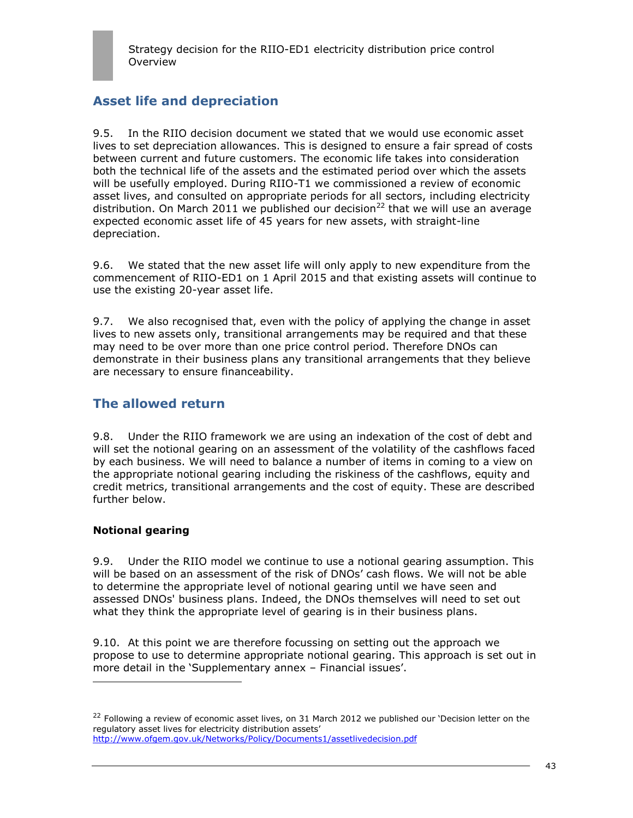## **Asset life and depreciation**

9.5. In the RIIO decision document we stated that we would use economic asset lives to set depreciation allowances. This is designed to ensure a fair spread of costs between current and future customers. The economic life takes into consideration both the technical life of the assets and the estimated period over which the assets will be usefully employed. During RIIO-T1 we commissioned a review of economic asset lives, and consulted on appropriate periods for all sectors, including electricity distribution. On March 2011 we published our decision<sup>22</sup> that we will use an average expected economic asset life of 45 years for new assets, with straight-line depreciation.

9.6. We stated that the new asset life will only apply to new expenditure from the commencement of RIIO-ED1 on 1 April 2015 and that existing assets will continue to use the existing 20-year asset life.

9.7. We also recognised that, even with the policy of applying the change in asset lives to new assets only, transitional arrangements may be required and that these may need to be over more than one price control period. Therefore DNOs can demonstrate in their business plans any transitional arrangements that they believe are necessary to ensure financeability.

## **The allowed return**

9.8. Under the RIIO framework we are using an indexation of the cost of debt and will set the notional gearing on an assessment of the volatility of the cashflows faced by each business. We will need to balance a number of items in coming to a view on the appropriate notional gearing including the riskiness of the cashflows, equity and credit metrics, transitional arrangements and the cost of equity. These are described further below.

### **Notional gearing**

ł

9.9. Under the RIIO model we continue to use a notional gearing assumption. This will be based on an assessment of the risk of DNOs' cash flows. We will not be able to determine the appropriate level of notional gearing until we have seen and assessed DNOs' business plans. Indeed, the DNOs themselves will need to set out what they think the appropriate level of gearing is in their business plans.

9.10. At this point we are therefore focussing on setting out the approach we propose to use to determine appropriate notional gearing. This approach is set out in more detail in the 'Supplementary annex - Financial issues'.

<sup>&</sup>lt;sup>22</sup> Following a review of economic asset lives, on 31 March 2012 we published our 'Decision letter on the regulatory asset lives for electricity distribution assets" <http://www.ofgem.gov.uk/Networks/Policy/Documents1/assetlivedecision.pdf>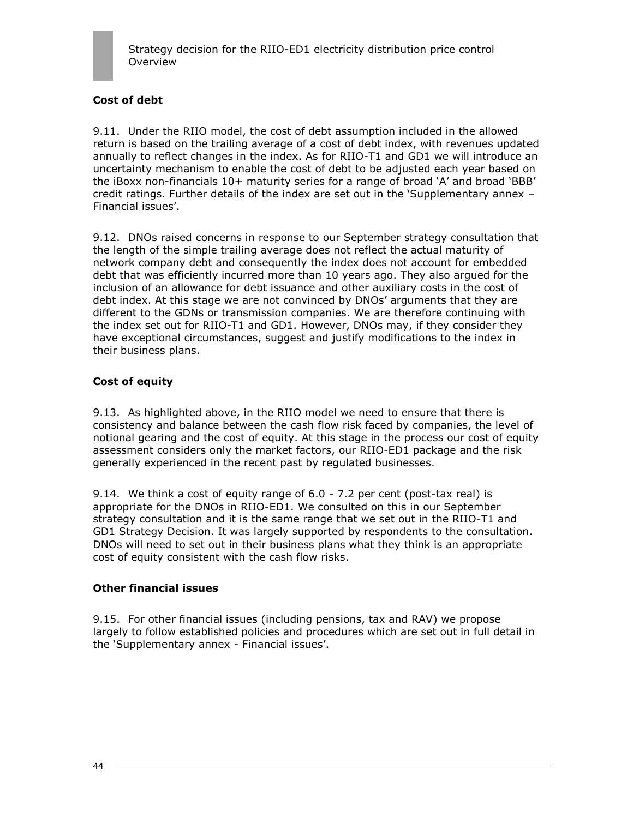

## **Cost of debt**

9.11. Under the RIIO model, the cost of debt assumption included in the allowed return is based on the trailing average of a cost of debt index, with revenues updated annually to reflect changes in the index. As for RIIO-T1 and GD1 we will introduce an uncertainty mechanism to enable the cost of debt to be adjusted each year based on the iBoxx non-financials  $10+$  maturity series for a range of broad 'A' and broad 'BBB' credit ratings. Further details of the index are set out in the "Supplementary annex – Financial issues'.

9.12. DNOs raised concerns in response to our September strategy consultation that the length of the simple trailing average does not reflect the actual maturity of network company debt and consequently the index does not account for embedded debt that was efficiently incurred more than 10 years ago. They also argued for the inclusion of an allowance for debt issuance and other auxiliary costs in the cost of debt index. At this stage we are not convinced by DNOs' arguments that they are different to the GDNs or transmission companies. We are therefore continuing with the index set out for RIIO-T1 and GD1. However, DNOs may, if they consider they have exceptional circumstances, suggest and justify modifications to the index in their business plans.

### **Cost of equity**

9.13. As highlighted above, in the RIIO model we need to ensure that there is consistency and balance between the cash flow risk faced by companies, the level of notional gearing and the cost of equity. At this stage in the process our cost of equity assessment considers only the market factors, our RIIO-ED1 package and the risk generally experienced in the recent past by regulated businesses.

9.14. We think a cost of equity range of 6.0 - 7.2 per cent (post-tax real) is appropriate for the DNOs in RIIO-ED1. We consulted on this in our September strategy consultation and it is the same range that we set out in the RIIO-T1 and GD1 Strategy Decision. It was largely supported by respondents to the consultation. DNOs will need to set out in their business plans what they think is an appropriate cost of equity consistent with the cash flow risks.

#### **Other financial issues**

9.15. For other financial issues (including pensions, tax and RAV) we propose largely to follow established policies and procedures which are set out in full detail in the 'Supplementary annex - Financial issues'.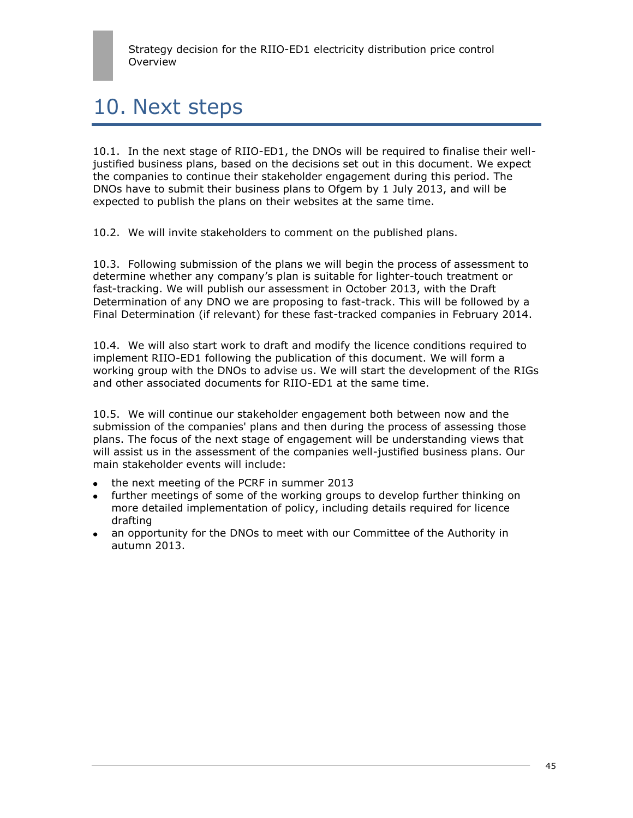# 10. Next steps

10.1. In the next stage of RIIO-ED1, the DNOs will be required to finalise their welljustified business plans, based on the decisions set out in this document. We expect the companies to continue their stakeholder engagement during this period. The DNOs have to submit their business plans to Ofgem by 1 July 2013, and will be expected to publish the plans on their websites at the same time.

10.2. We will invite stakeholders to comment on the published plans.

10.3. Following submission of the plans we will begin the process of assessment to determine whether any company"s plan is suitable for lighter-touch treatment or fast-tracking. We will publish our assessment in October 2013, with the Draft Determination of any DNO we are proposing to fast-track. This will be followed by a Final Determination (if relevant) for these fast-tracked companies in February 2014.

10.4. We will also start work to draft and modify the licence conditions required to implement RIIO-ED1 following the publication of this document. We will form a working group with the DNOs to advise us. We will start the development of the RIGs and other associated documents for RIIO-ED1 at the same time.

10.5. We will continue our stakeholder engagement both between now and the submission of the companies' plans and then during the process of assessing those plans. The focus of the next stage of engagement will be understanding views that will assist us in the assessment of the companies well-justified business plans. Our main stakeholder events will include:

- the next meeting of the PCRF in summer 2013
- further meetings of some of the working groups to develop further thinking on  $\bullet$ more detailed implementation of policy, including details required for licence drafting
- an opportunity for the DNOs to meet with our Committee of the Authority in autumn 2013.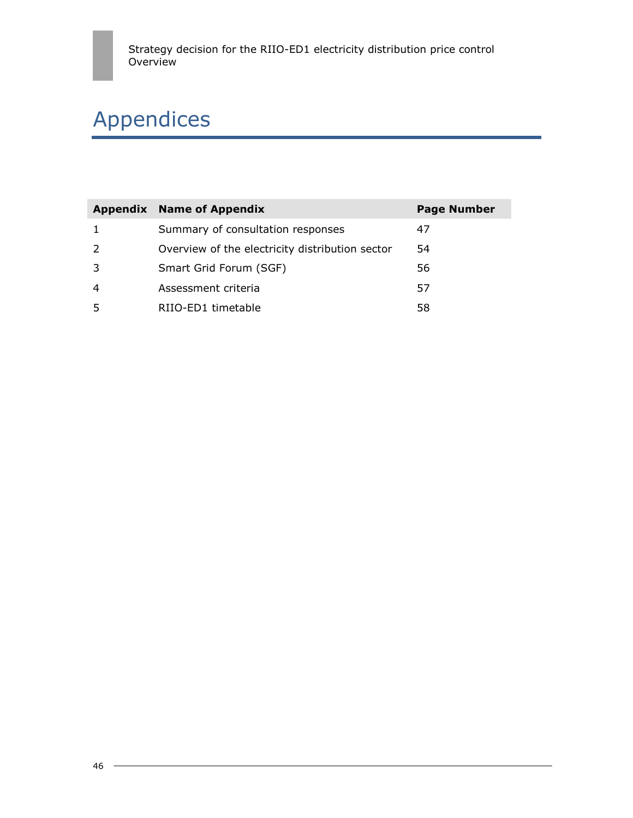# Appendices

| Appendix       | <b>Name of Appendix</b>                         | <b>Page Number</b> |
|----------------|-------------------------------------------------|--------------------|
|                | Summary of consultation responses               | 47                 |
| 2              | Overview of the electricity distribution sector | 54                 |
| -3             | Smart Grid Forum (SGF)                          | 56                 |
| $\overline{4}$ | Assessment criteria                             | 57                 |
| 5              | RIIO-ED1 timetable                              | 58                 |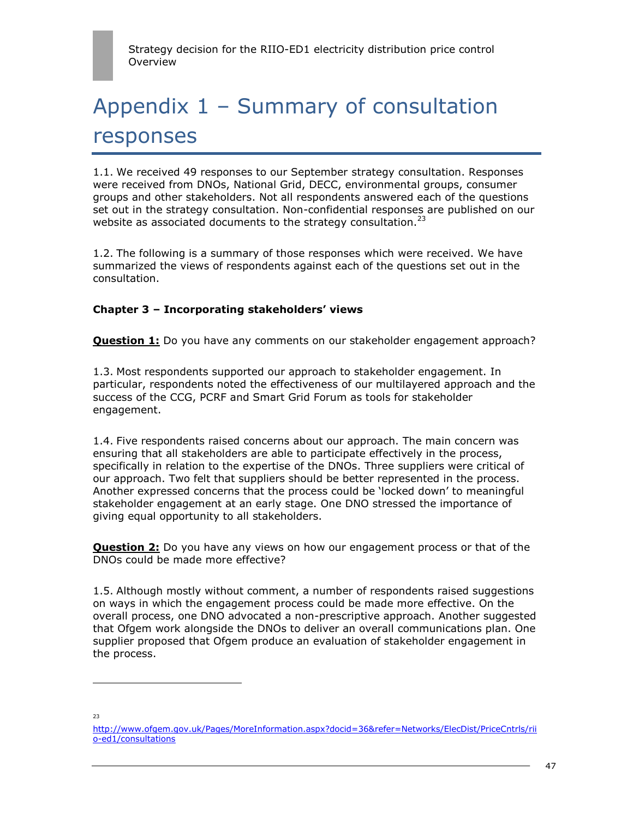# Appendix 1 – Summary of consultation responses

1.1. We received 49 responses to our September strategy consultation. Responses were received from DNOs, National Grid, DECC, environmental groups, consumer groups and other stakeholders. Not all respondents answered each of the questions set out in the strategy consultation. Non-confidential responses are published on our website as associated documents to the strategy consultation. $^{23}$ 

1.2. The following is a summary of those responses which were received. We have summarized the views of respondents against each of the questions set out in the consultation.

## **Chapter 3 – Incorporating stakeholders' views**

**Question 1:** Do you have any comments on our stakeholder engagement approach?

1.3. Most respondents supported our approach to stakeholder engagement. In particular, respondents noted the effectiveness of our multilayered approach and the success of the CCG, PCRF and Smart Grid Forum as tools for stakeholder engagement.

1.4. Five respondents raised concerns about our approach. The main concern was ensuring that all stakeholders are able to participate effectively in the process, specifically in relation to the expertise of the DNOs. Three suppliers were critical of our approach. Two felt that suppliers should be better represented in the process. Another expressed concerns that the process could be "locked down" to meaningful stakeholder engagement at an early stage. One DNO stressed the importance of giving equal opportunity to all stakeholders.

**Question 2:** Do you have any views on how our engagement process or that of the DNOs could be made more effective?

1.5. Although mostly without comment, a number of respondents raised suggestions on ways in which the engagement process could be made more effective. On the overall process, one DNO advocated a non-prescriptive approach. Another suggested that Ofgem work alongside the DNOs to deliver an overall communications plan. One supplier proposed that Ofgem produce an evaluation of stakeholder engagement in the process.

23

l

[http://www.ofgem.gov.uk/Pages/MoreInformation.aspx?docid=36&refer=Networks/ElecDist/PriceCntrls/rii](http://www.ofgem.gov.uk/Pages/MoreInformation.aspx?docid=36&refer=Networks/ElecDist/PriceCntrls/riio-ed1/consultations) [o-ed1/consultations](http://www.ofgem.gov.uk/Pages/MoreInformation.aspx?docid=36&refer=Networks/ElecDist/PriceCntrls/riio-ed1/consultations)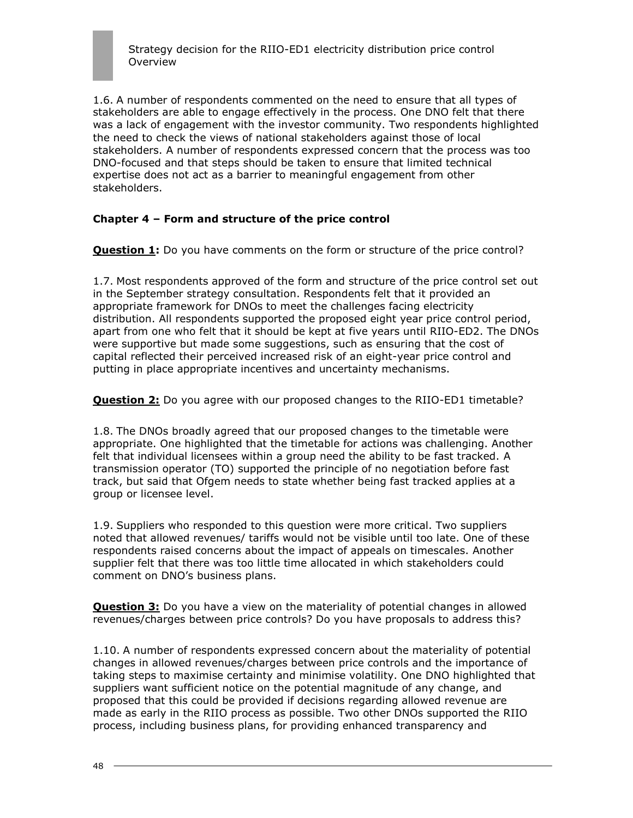1.6. A number of respondents commented on the need to ensure that all types of stakeholders are able to engage effectively in the process. One DNO felt that there was a lack of engagement with the investor community. Two respondents highlighted the need to check the views of national stakeholders against those of local stakeholders. A number of respondents expressed concern that the process was too DNO-focused and that steps should be taken to ensure that limited technical expertise does not act as a barrier to meaningful engagement from other stakeholders.

## **Chapter 4 – Form and structure of the price control**

**Question 1:** Do you have comments on the form or structure of the price control?

1.7. Most respondents approved of the form and structure of the price control set out in the September strategy consultation. Respondents felt that it provided an appropriate framework for DNOs to meet the challenges facing electricity distribution. All respondents supported the proposed eight year price control period, apart from one who felt that it should be kept at five years until RIIO-ED2. The DNOs were supportive but made some suggestions, such as ensuring that the cost of capital reflected their perceived increased risk of an eight-year price control and putting in place appropriate incentives and uncertainty mechanisms.

**Question 2:** Do you agree with our proposed changes to the RIIO-ED1 timetable?

1.8. The DNOs broadly agreed that our proposed changes to the timetable were appropriate. One highlighted that the timetable for actions was challenging. Another felt that individual licensees within a group need the ability to be fast tracked. A transmission operator (TO) supported the principle of no negotiation before fast track, but said that Ofgem needs to state whether being fast tracked applies at a group or licensee level.

1.9. Suppliers who responded to this question were more critical. Two suppliers noted that allowed revenues/ tariffs would not be visible until too late. One of these respondents raised concerns about the impact of appeals on timescales. Another supplier felt that there was too little time allocated in which stakeholders could comment on DNO"s business plans.

**Question 3:** Do you have a view on the materiality of potential changes in allowed revenues/charges between price controls? Do you have proposals to address this?

1.10. A number of respondents expressed concern about the materiality of potential changes in allowed revenues/charges between price controls and the importance of taking steps to maximise certainty and minimise volatility. One DNO highlighted that suppliers want sufficient notice on the potential magnitude of any change, and proposed that this could be provided if decisions regarding allowed revenue are made as early in the RIIO process as possible. Two other DNOs supported the RIIO process, including business plans, for providing enhanced transparency and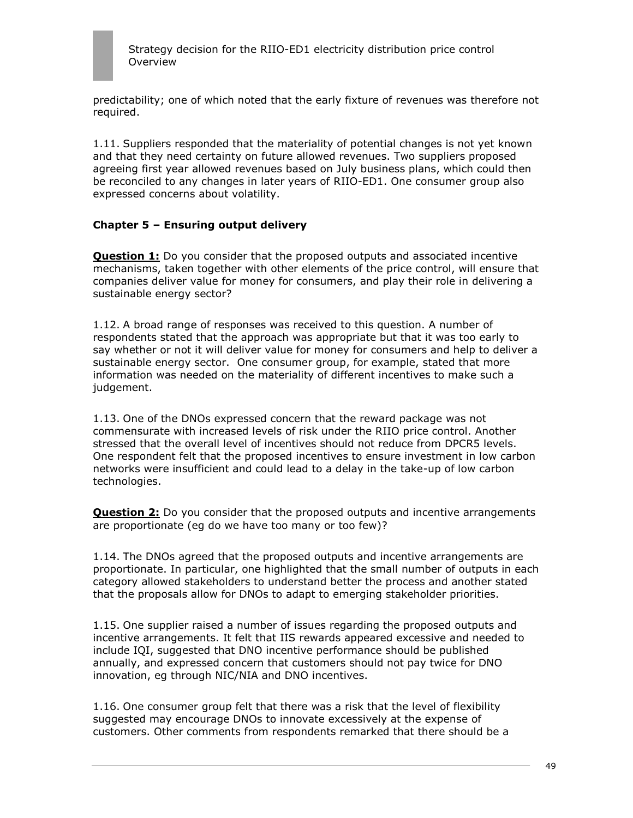

predictability; one of which noted that the early fixture of revenues was therefore not required.

1.11. Suppliers responded that the materiality of potential changes is not yet known and that they need certainty on future allowed revenues. Two suppliers proposed agreeing first year allowed revenues based on July business plans, which could then be reconciled to any changes in later years of RIIO-ED1. One consumer group also expressed concerns about volatility.

#### **Chapter 5 – Ensuring output delivery**

**Question 1:** Do you consider that the proposed outputs and associated incentive mechanisms, taken together with other elements of the price control, will ensure that companies deliver value for money for consumers, and play their role in delivering a sustainable energy sector?

1.12. A broad range of responses was received to this question. A number of respondents stated that the approach was appropriate but that it was too early to say whether or not it will deliver value for money for consumers and help to deliver a sustainable energy sector. One consumer group, for example, stated that more information was needed on the materiality of different incentives to make such a judgement.

1.13. One of the DNOs expressed concern that the reward package was not commensurate with increased levels of risk under the RIIO price control. Another stressed that the overall level of incentives should not reduce from DPCR5 levels. One respondent felt that the proposed incentives to ensure investment in low carbon networks were insufficient and could lead to a delay in the take-up of low carbon technologies.

**Question 2:** Do you consider that the proposed outputs and incentive arrangements are proportionate (eg do we have too many or too few)?

1.14. The DNOs agreed that the proposed outputs and incentive arrangements are proportionate. In particular, one highlighted that the small number of outputs in each category allowed stakeholders to understand better the process and another stated that the proposals allow for DNOs to adapt to emerging stakeholder priorities.

1.15. One supplier raised a number of issues regarding the proposed outputs and incentive arrangements. It felt that IIS rewards appeared excessive and needed to include IQI, suggested that DNO incentive performance should be published annually, and expressed concern that customers should not pay twice for DNO innovation, eg through NIC/NIA and DNO incentives.

1.16. One consumer group felt that there was a risk that the level of flexibility suggested may encourage DNOs to innovate excessively at the expense of customers. Other comments from respondents remarked that there should be a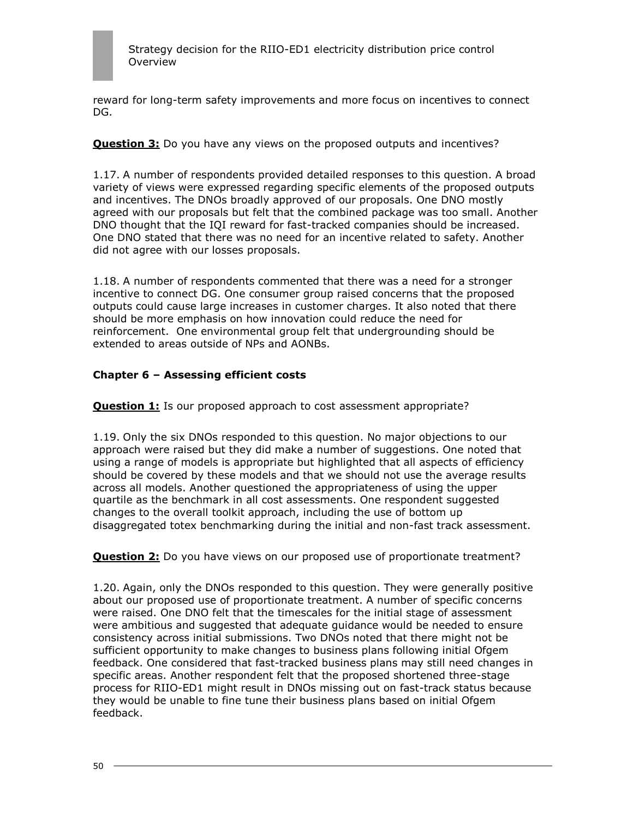

reward for long-term safety improvements and more focus on incentives to connect DG.

**Question 3:** Do you have any views on the proposed outputs and incentives?

1.17. A number of respondents provided detailed responses to this question. A broad variety of views were expressed regarding specific elements of the proposed outputs and incentives. The DNOs broadly approved of our proposals. One DNO mostly agreed with our proposals but felt that the combined package was too small. Another DNO thought that the IQI reward for fast-tracked companies should be increased. One DNO stated that there was no need for an incentive related to safety. Another did not agree with our losses proposals.

1.18. A number of respondents commented that there was a need for a stronger incentive to connect DG. One consumer group raised concerns that the proposed outputs could cause large increases in customer charges. It also noted that there should be more emphasis on how innovation could reduce the need for reinforcement. One environmental group felt that undergrounding should be extended to areas outside of NPs and AONBs.

### **Chapter 6 – Assessing efficient costs**

**Question 1:** Is our proposed approach to cost assessment appropriate?

1.19. Only the six DNOs responded to this question. No major objections to our approach were raised but they did make a number of suggestions. One noted that using a range of models is appropriate but highlighted that all aspects of efficiency should be covered by these models and that we should not use the average results across all models. Another questioned the appropriateness of using the upper quartile as the benchmark in all cost assessments. One respondent suggested changes to the overall toolkit approach, including the use of bottom up disaggregated totex benchmarking during the initial and non-fast track assessment.

**Question 2:** Do you have views on our proposed use of proportionate treatment?

1.20. Again, only the DNOs responded to this question. They were generally positive about our proposed use of proportionate treatment. A number of specific concerns were raised. One DNO felt that the timescales for the initial stage of assessment were ambitious and suggested that adequate guidance would be needed to ensure consistency across initial submissions. Two DNOs noted that there might not be sufficient opportunity to make changes to business plans following initial Ofgem feedback. One considered that fast-tracked business plans may still need changes in specific areas. Another respondent felt that the proposed shortened three-stage process for RIIO-ED1 might result in DNOs missing out on fast-track status because they would be unable to fine tune their business plans based on initial Ofgem feedback.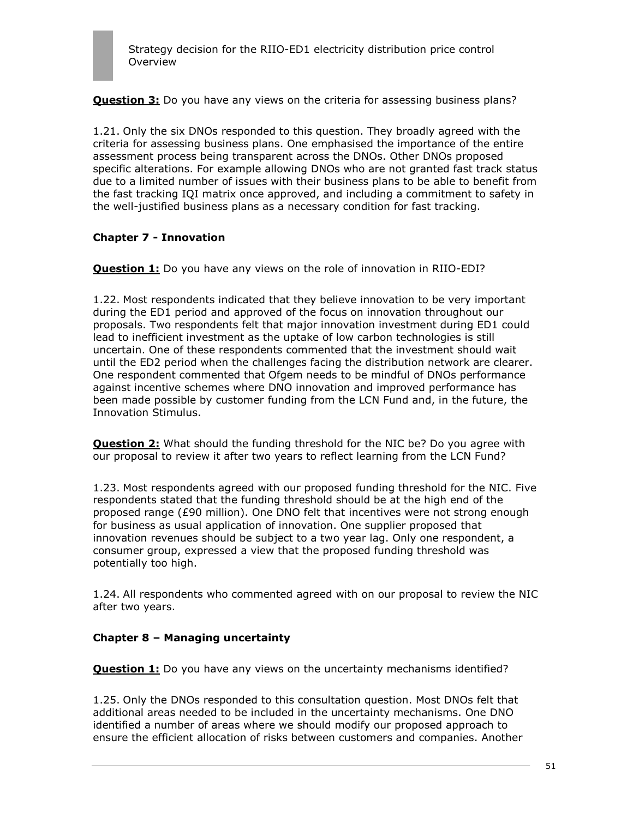**Question 3:** Do you have any views on the criteria for assessing business plans?

1.21. Only the six DNOs responded to this question. They broadly agreed with the criteria for assessing business plans. One emphasised the importance of the entire assessment process being transparent across the DNOs. Other DNOs proposed specific alterations. For example allowing DNOs who are not granted fast track status due to a limited number of issues with their business plans to be able to benefit from the fast tracking IQI matrix once approved, and including a commitment to safety in the well-justified business plans as a necessary condition for fast tracking.

### **Chapter 7 - Innovation**

**Question 1:** Do you have any views on the role of innovation in RIIO-EDI?

1.22. Most respondents indicated that they believe innovation to be very important during the ED1 period and approved of the focus on innovation throughout our proposals. Two respondents felt that major innovation investment during ED1 could lead to inefficient investment as the uptake of low carbon technologies is still uncertain. One of these respondents commented that the investment should wait until the ED2 period when the challenges facing the distribution network are clearer. One respondent commented that Ofgem needs to be mindful of DNOs performance against incentive schemes where DNO innovation and improved performance has been made possible by customer funding from the LCN Fund and, in the future, the Innovation Stimulus.

**Question 2:** What should the funding threshold for the NIC be? Do you agree with our proposal to review it after two years to reflect learning from the LCN Fund?

1.23. Most respondents agreed with our proposed funding threshold for the NIC. Five respondents stated that the funding threshold should be at the high end of the proposed range (£90 million). One DNO felt that incentives were not strong enough for business as usual application of innovation. One supplier proposed that innovation revenues should be subject to a two year lag. Only one respondent, a consumer group, expressed a view that the proposed funding threshold was potentially too high.

1.24. All respondents who commented agreed with on our proposal to review the NIC after two years.

#### **Chapter 8 – Managing uncertainty**

**Question 1:** Do you have any views on the uncertainty mechanisms identified?

1.25. Only the DNOs responded to this consultation question. Most DNOs felt that additional areas needed to be included in the uncertainty mechanisms. One DNO identified a number of areas where we should modify our proposed approach to ensure the efficient allocation of risks between customers and companies. Another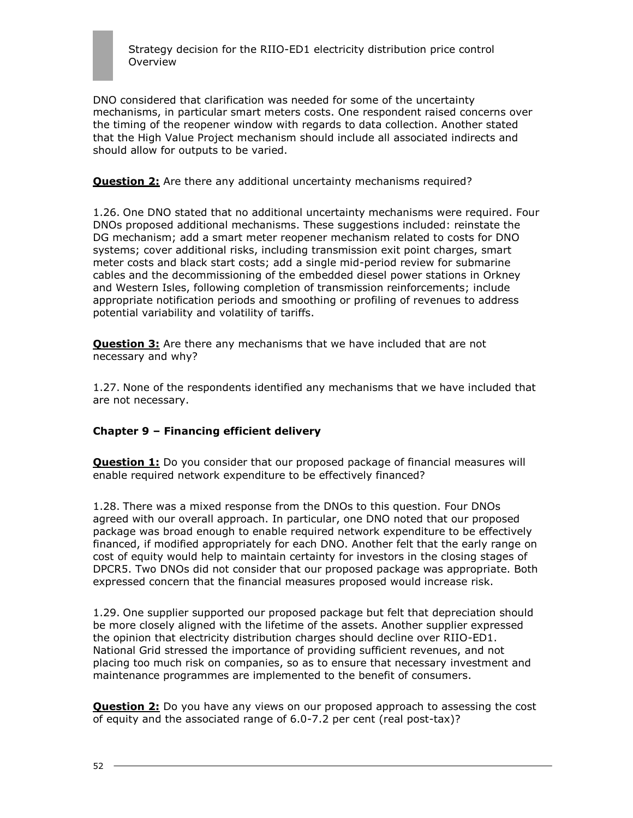DNO considered that clarification was needed for some of the uncertainty mechanisms, in particular smart meters costs. One respondent raised concerns over the timing of the reopener window with regards to data collection. Another stated that the High Value Project mechanism should include all associated indirects and should allow for outputs to be varied.

**Question 2:** Are there any additional uncertainty mechanisms required?

1.26. One DNO stated that no additional uncertainty mechanisms were required. Four DNOs proposed additional mechanisms. These suggestions included: reinstate the DG mechanism; add a smart meter reopener mechanism related to costs for DNO systems; cover additional risks, including transmission exit point charges, smart meter costs and black start costs; add a single mid-period review for submarine cables and the decommissioning of the embedded diesel power stations in Orkney and Western Isles, following completion of transmission reinforcements; include appropriate notification periods and smoothing or profiling of revenues to address potential variability and volatility of tariffs.

**Question 3:** Are there any mechanisms that we have included that are not necessary and why?

1.27. None of the respondents identified any mechanisms that we have included that are not necessary.

### **Chapter 9 – Financing efficient delivery**

**Question 1:** Do you consider that our proposed package of financial measures will enable required network expenditure to be effectively financed?

1.28. There was a mixed response from the DNOs to this question. Four DNOs agreed with our overall approach. In particular, one DNO noted that our proposed package was broad enough to enable required network expenditure to be effectively financed, if modified appropriately for each DNO. Another felt that the early range on cost of equity would help to maintain certainty for investors in the closing stages of DPCR5. Two DNOs did not consider that our proposed package was appropriate. Both expressed concern that the financial measures proposed would increase risk.

1.29. One supplier supported our proposed package but felt that depreciation should be more closely aligned with the lifetime of the assets. Another supplier expressed the opinion that electricity distribution charges should decline over RIIO-ED1. National Grid stressed the importance of providing sufficient revenues, and not placing too much risk on companies, so as to ensure that necessary investment and maintenance programmes are implemented to the benefit of consumers.

**Question 2:** Do you have any views on our proposed approach to assessing the cost of equity and the associated range of 6.0-7.2 per cent (real post-tax)?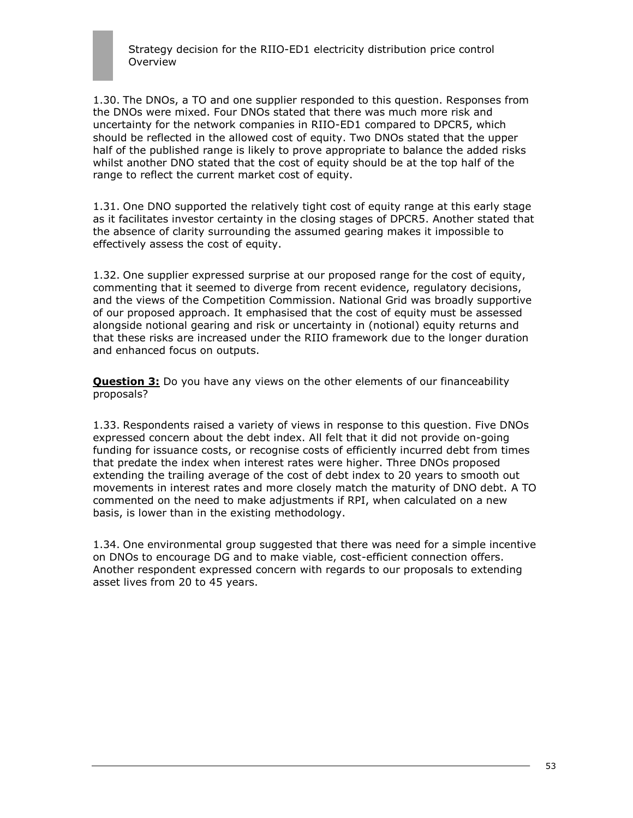1.30. The DNOs, a TO and one supplier responded to this question. Responses from the DNOs were mixed. Four DNOs stated that there was much more risk and uncertainty for the network companies in RIIO-ED1 compared to DPCR5, which should be reflected in the allowed cost of equity. Two DNOs stated that the upper half of the published range is likely to prove appropriate to balance the added risks whilst another DNO stated that the cost of equity should be at the top half of the range to reflect the current market cost of equity.

1.31. One DNO supported the relatively tight cost of equity range at this early stage as it facilitates investor certainty in the closing stages of DPCR5. Another stated that the absence of clarity surrounding the assumed gearing makes it impossible to effectively assess the cost of equity.

1.32. One supplier expressed surprise at our proposed range for the cost of equity, commenting that it seemed to diverge from recent evidence, regulatory decisions, and the views of the Competition Commission. National Grid was broadly supportive of our proposed approach. It emphasised that the cost of equity must be assessed alongside notional gearing and risk or uncertainty in (notional) equity returns and that these risks are increased under the RIIO framework due to the longer duration and enhanced focus on outputs.

**Question 3:** Do you have any views on the other elements of our financeability proposals?

1.33. Respondents raised a variety of views in response to this question. Five DNOs expressed concern about the debt index. All felt that it did not provide on-going funding for issuance costs, or recognise costs of efficiently incurred debt from times that predate the index when interest rates were higher. Three DNOs proposed extending the trailing average of the cost of debt index to 20 years to smooth out movements in interest rates and more closely match the maturity of DNO debt. A TO commented on the need to make adjustments if RPI, when calculated on a new basis, is lower than in the existing methodology.

1.34. One environmental group suggested that there was need for a simple incentive on DNOs to encourage DG and to make viable, cost-efficient connection offers. Another respondent expressed concern with regards to our proposals to extending asset lives from 20 to 45 years.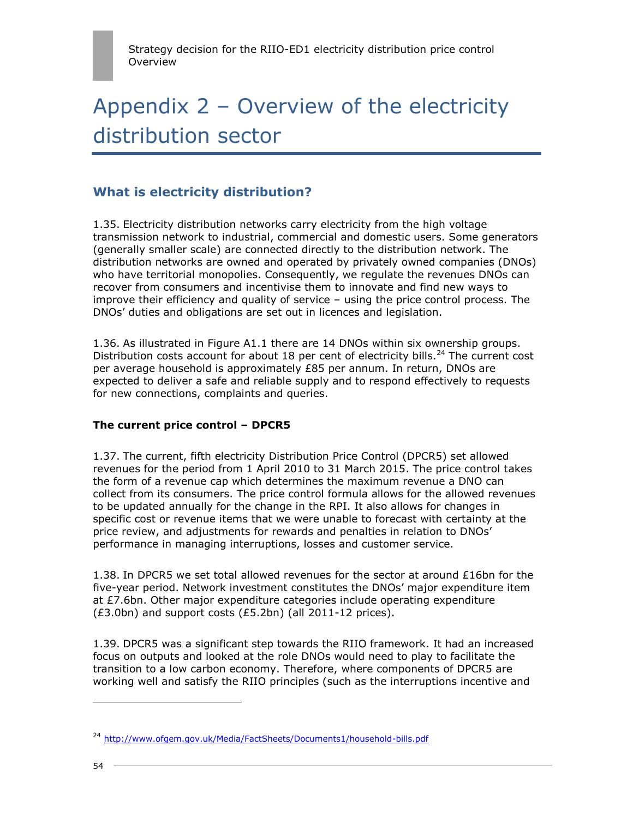# Appendix 2 – Overview of the electricity distribution sector

## **What is electricity distribution?**

1.35. Electricity distribution networks carry electricity from the high voltage transmission network to industrial, commercial and domestic users. Some generators (generally smaller scale) are connected directly to the distribution network. The distribution networks are owned and operated by privately owned companies (DNOs) who have territorial monopolies. Consequently, we regulate the revenues DNOs can recover from consumers and incentivise them to innovate and find new ways to improve their efficiency and quality of service – using the price control process. The DNOs" duties and obligations are set out in licences and legislation.

1.36. As illustrated in Figure A1.1 there are 14 DNOs within six ownership groups. Distribution costs account for about 18 per cent of electricity bills.<sup>24</sup> The current cost per average household is approximately £85 per annum. In return, DNOs are expected to deliver a safe and reliable supply and to respond effectively to requests for new connections, complaints and queries.

### **The current price control – DPCR5**

1.37. The current, fifth electricity Distribution Price Control (DPCR5) set allowed revenues for the period from 1 April 2010 to 31 March 2015. The price control takes the form of a revenue cap which determines the maximum revenue a DNO can collect from its consumers. The price control formula allows for the allowed revenues to be updated annually for the change in the RPI. It also allows for changes in specific cost or revenue items that we were unable to forecast with certainty at the price review, and adjustments for rewards and penalties in relation to DNOs" performance in managing interruptions, losses and customer service.

1.38. In DPCR5 we set total allowed revenues for the sector at around £16bn for the five-year period. Network investment constitutes the DNOs" major expenditure item at £7.6bn. Other major expenditure categories include operating expenditure (£3.0bn) and support costs (£5.2bn) (all 2011-12 prices).

1.39. DPCR5 was a significant step towards the RIIO framework. It had an increased focus on outputs and looked at the role DNOs would need to play to facilitate the transition to a low carbon economy. Therefore, where components of DPCR5 are working well and satisfy the RIIO principles (such as the interruptions incentive and

<sup>&</sup>lt;sup>24</sup> <http://www.ofgem.gov.uk/Media/FactSheets/Documents1/household-bills.pdf>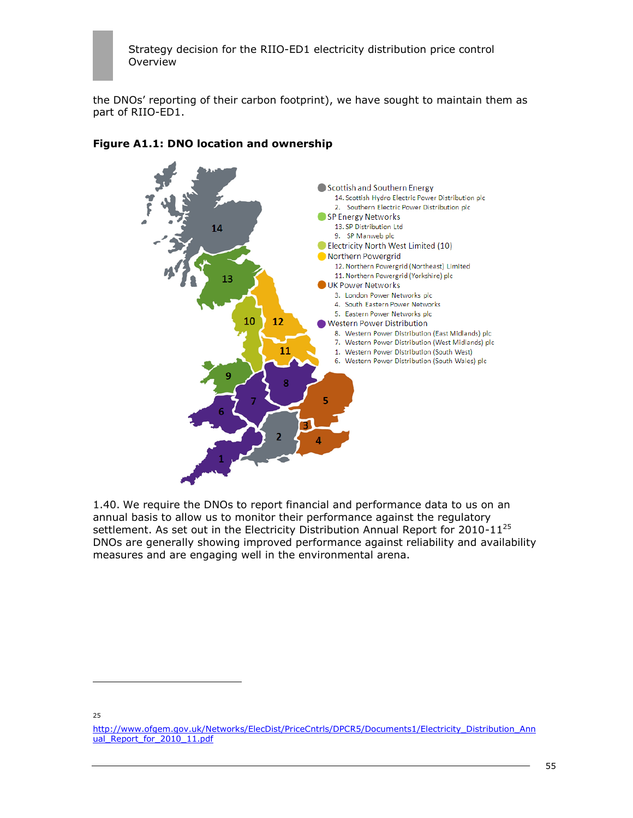the DNOs" reporting of their carbon footprint), we have sought to maintain them as part of RIIO-ED1.



## **Figure A1.1: DNO location and ownership**

1.40. We require the DNOs to report financial and performance data to us on an annual basis to allow us to monitor their performance against the regulatory settlement. As set out in the Electricity Distribution Annual Report for 2010-11<sup>25</sup> DNOs are generally showing improved performance against reliability and availability measures and are engaging well in the environmental arena.

25

[http://www.ofgem.gov.uk/Networks/ElecDist/PriceCntrls/DPCR5/Documents1/Electricity\\_Distribution\\_Ann](http://www.ofgem.gov.uk/Networks/ElecDist/PriceCntrls/DPCR5/Documents1/Electricity_Distribution_Annual_Report_for_2010_11.pdf) ual Report for 2010 11.pdf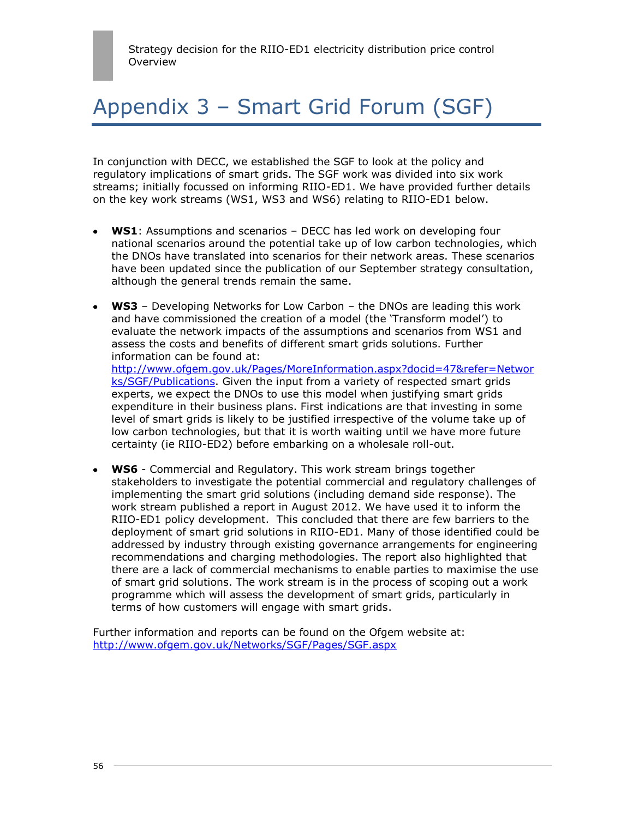# Appendix 3 – Smart Grid Forum (SGF)

In conjunction with DECC, we established the SGF to look at the policy and regulatory implications of smart grids. The SGF work was divided into six work streams; initially focussed on informing RIIO-ED1. We have provided further details on the key work streams (WS1, WS3 and WS6) relating to RIIO-ED1 below.

- **WS1**: Assumptions and scenarios DECC has led work on developing four national scenarios around the potential take up of low carbon technologies, which the DNOs have translated into scenarios for their network areas. These scenarios have been updated since the publication of our September strategy consultation, although the general trends remain the same.
- **WS3** Developing Networks for Low Carbon the DNOs are leading this work and have commissioned the creation of a model (the "Transform model") to evaluate the network impacts of the assumptions and scenarios from WS1 and assess the costs and benefits of different smart grids solutions. Further information can be found at: [http://www.ofgem.gov.uk/Pages/MoreInformation.aspx?docid=47&refer=Networ](http://www.ofgem.gov.uk/Pages/MoreInformation.aspx?docid=47&refer=Networks/SGF/Publications) [ks/SGF/Publications.](http://www.ofgem.gov.uk/Pages/MoreInformation.aspx?docid=47&refer=Networks/SGF/Publications) Given the input from a variety of respected smart grids experts, we expect the DNOs to use this model when justifying smart grids expenditure in their business plans. First indications are that investing in some level of smart grids is likely to be justified irrespective of the volume take up of low carbon technologies, but that it is worth waiting until we have more future certainty (ie RIIO-ED2) before embarking on a wholesale roll-out.
- **WS6** Commercial and Regulatory. This work stream brings together stakeholders to investigate the potential commercial and regulatory challenges of implementing the smart grid solutions (including demand side response). The work stream published a report in August 2012. We have used it to inform the RIIO-ED1 policy development. This concluded that there are few barriers to the deployment of smart grid solutions in RIIO-ED1. Many of those identified could be addressed by industry through existing governance arrangements for engineering recommendations and charging methodologies. The report also highlighted that there are a lack of commercial mechanisms to enable parties to maximise the use of smart grid solutions. The work stream is in the process of scoping out a work programme which will assess the development of smart grids, particularly in terms of how customers will engage with smart grids.

Further information and reports can be found on the Ofgem website at: <http://www.ofgem.gov.uk/Networks/SGF/Pages/SGF.aspx>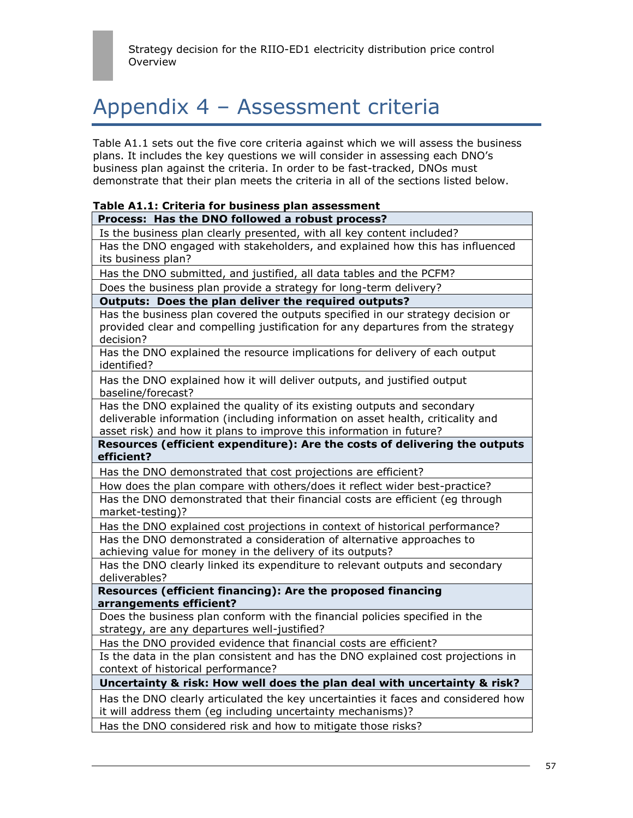## Appendix 4 – Assessment criteria

Table A1.1 sets out the five core criteria against which we will assess the business plans. It includes the key questions we will consider in assessing each DNO"s business plan against the criteria. In order to be fast-tracked, DNOs must demonstrate that their plan meets the criteria in all of the sections listed below.

## **Table A1.1: Criteria for business plan assessment**

## **Process: Has the DNO followed a robust process?**

Is the business plan clearly presented, with all key content included? Has the DNO engaged with stakeholders, and explained how this has influenced its business plan? Has the DNO submitted, and justified, all data tables and the PCFM? Does the business plan provide a strategy for long-term delivery? **Outputs: Does the plan deliver the required outputs?** Has the business plan covered the outputs specified in our strategy decision or provided clear and compelling justification for any departures from the strategy decision? Has the DNO explained the resource implications for delivery of each output identified? Has the DNO explained how it will deliver outputs, and justified output baseline/forecast? Has the DNO explained the quality of its existing outputs and secondary deliverable information (including information on asset health, criticality and asset risk) and how it plans to improve this information in future? **Resources (efficient expenditure): Are the costs of delivering the outputs efficient?** Has the DNO demonstrated that cost projections are efficient? How does the plan compare with others/does it reflect wider best-practice? Has the DNO demonstrated that their financial costs are efficient (eg through market-testing)? Has the DNO explained cost projections in context of historical performance? Has the DNO demonstrated a consideration of alternative approaches to achieving value for money in the delivery of its outputs? Has the DNO clearly linked its expenditure to relevant outputs and secondary deliverables? **Resources (efficient financing): Are the proposed financing arrangements efficient?**  Does the business plan conform with the financial policies specified in the strategy, are any departures well-justified? Has the DNO provided evidence that financial costs are efficient?

Is the data in the plan consistent and has the DNO explained cost projections in context of historical performance?

**Uncertainty & risk: How well does the plan deal with uncertainty & risk?**

Has the DNO clearly articulated the key uncertainties it faces and considered how it will address them (eg including uncertainty mechanisms)?

Has the DNO considered risk and how to mitigate those risks?